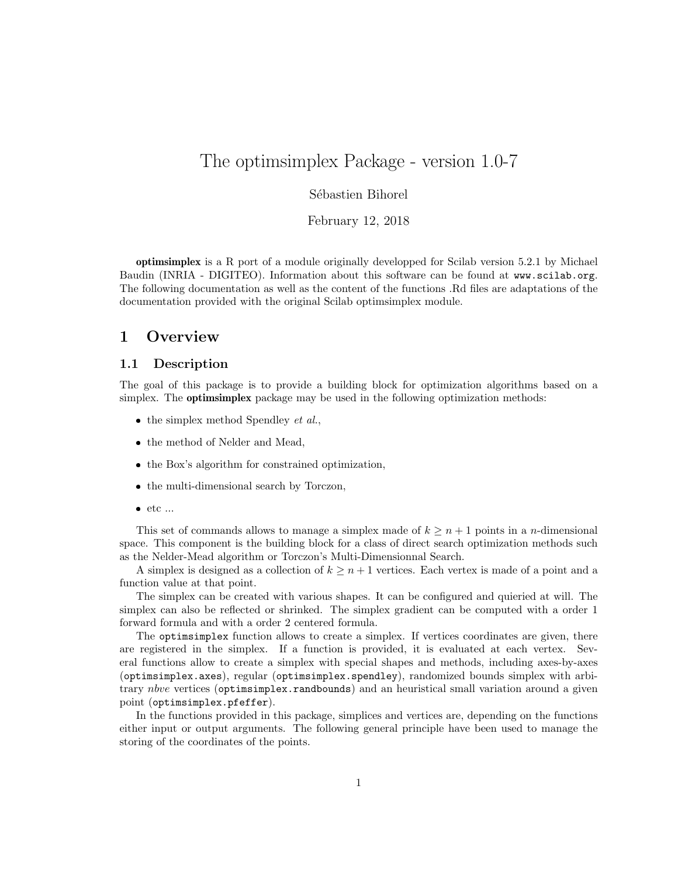# The optimsimplex Package - version 1.0-7

# Sébastien Bihorel

February 12, 2018

optimsimplex is a R port of a module originally developped for Scilab version 5.2.1 by Michael Baudin (INRIA - DIGITEO). Information about this software can be found at <www.scilab.org>. The following documentation as well as the content of the functions .Rd files are adaptations of the documentation provided with the original Scilab optimsimplex module.

# 1 Overview

# 1.1 Description

The goal of this package is to provide a building block for optimization algorithms based on a simplex. The **optimsimplex** package may be used in the following optimization methods:

- $\bullet$  the simplex method Spendley *et al.*,
- the method of Nelder and Mead,
- the Box's algorithm for constrained optimization,
- the multi-dimensional search by Torczon,
- $\bullet$  etc ...

This set of commands allows to manage a simplex made of  $k \geq n+1$  points in a *n*-dimensional space. This component is the building block for a class of direct search optimization methods such as the Nelder-Mead algorithm or Torczon's Multi-Dimensionnal Search.

A simplex is designed as a collection of  $k \geq n+1$  vertices. Each vertex is made of a point and a function value at that point.

The simplex can be created with various shapes. It can be configured and quieried at will. The simplex can also be reflected or shrinked. The simplex gradient can be computed with a order 1 forward formula and with a order 2 centered formula.

The optimsimplex function allows to create a simplex. If vertices coordinates are given, there are registered in the simplex. If a function is provided, it is evaluated at each vertex. Several functions allow to create a simplex with special shapes and methods, including axes-by-axes (optimsimplex.axes), regular (optimsimplex.spendley), randomized bounds simplex with arbitrary nbve vertices (optimsimplex.randbounds) and an heuristical small variation around a given point (optimsimplex.pfeffer).

In the functions provided in this package, simplices and vertices are, depending on the functions either input or output arguments. The following general principle have been used to manage the storing of the coordinates of the points.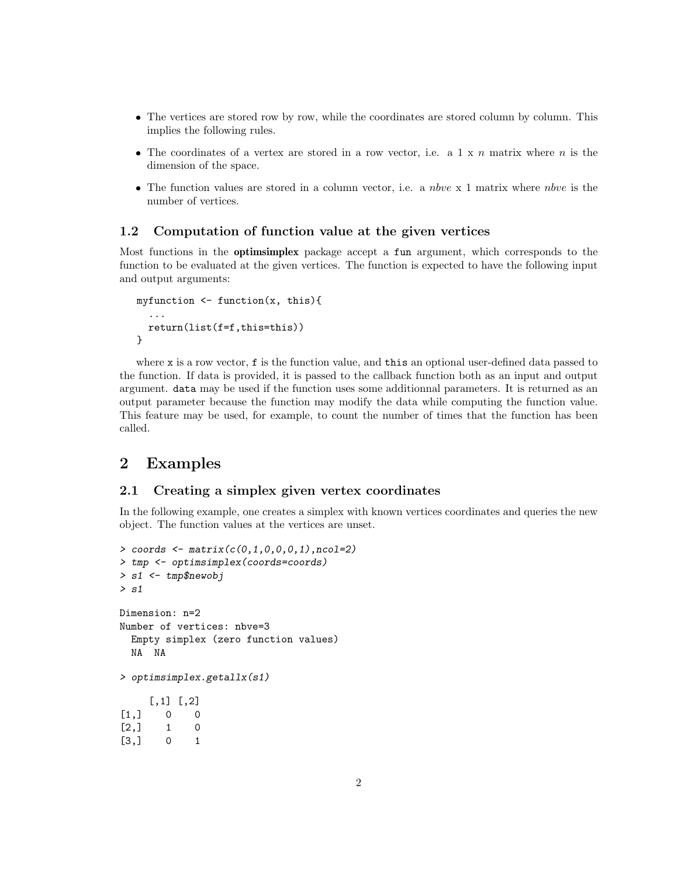- The vertices are stored row by row, while the coordinates are stored column by column. This implies the following rules.
- The coordinates of a vertex are stored in a row vector, i.e. a 1 x n matrix where n is the dimension of the space.
- $\bullet$  The function values are stored in a column vector, i.e. a *nbve* x 1 matrix where *nbve* is the number of vertices.

# 1.2 Computation of function value at the given vertices

Most functions in the optimsimplex package accept a fun argument, which corresponds to the function to be evaluated at the given vertices. The function is expected to have the following input and output arguments:

```
myfunction <- function(x, this){
  ...
  return(list(f=f,this=this))
}
```
where x is a row vector, f is the function value, and this an optional user-defined data passed to the function. If data is provided, it is passed to the callback function both as an input and output argument. data may be used if the function uses some additionnal parameters. It is returned as an output parameter because the function may modify the data while computing the function value. This feature may be used, for example, to count the number of times that the function has been called.

# 2 Examples

## 2.1 Creating a simplex given vertex coordinates

In the following example, one creates a simplex with known vertices coordinates and queries the new object. The function values at the vertices are unset.

```
> coords \leq matrix(c(0,1,0,0,0,1), ncol=2)
> tmp <- optimsimplex(coords=coords)
> s1 <- tmp$newobj
> s1
Dimension: n=2
Number of vertices: nbve=3
  Empty simplex (zero function values)
 NA NA
> optimsimplex.getallx(s1)
     [0,1] [0,2][1,] 0 0[2,] 1 0[3,] 0 1
```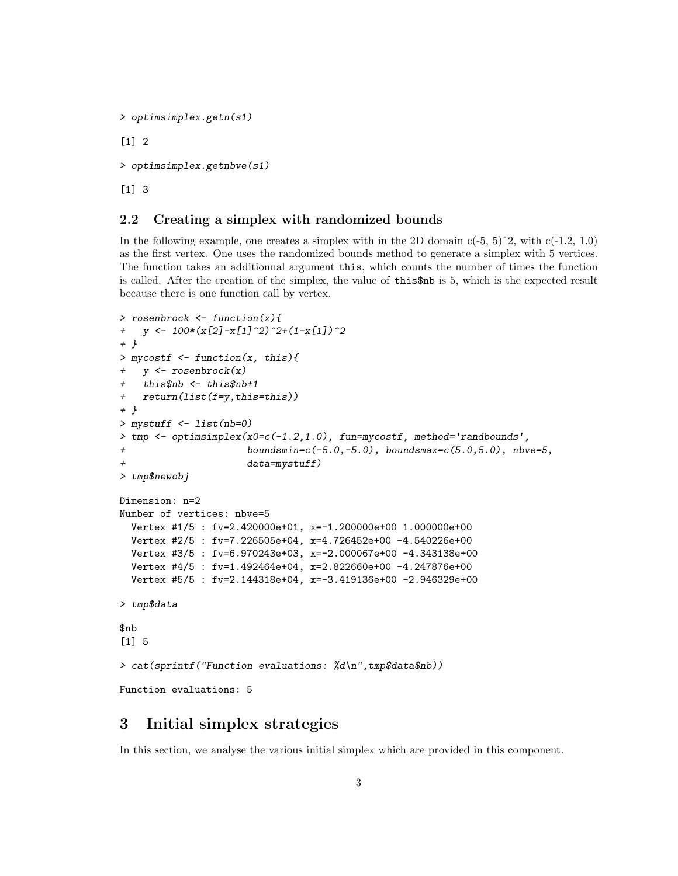```
> optimsimplex.getn(s1)
[1] 2
> optimsimplex.getnbve(s1)
[1] 3
```
# 2.2 Creating a simplex with randomized bounds

In the following example, one creates a simplex with in the 2D domain  $c(-5, 5)^2$ , with  $c(-1.2, 1.0)$ as the first vertex. One uses the randomized bounds method to generate a simplex with 5 vertices. The function takes an additionnal argument this, which counts the number of times the function is called. After the creation of the simplex, the value of this\$nb is 5, which is the expected result because there is one function call by vertex.

```
> rosenbrock <- function(x){
+ y \leftarrow 100*(x[2]-x[1]^2)-2+(1-x[1])^2+ }
> mycostf <- function(x, this){
+ y <- rosenbrock(x)
+ this$nb <- this$nb+1
+ return(list(f=y,this=this))
+ }
> mystuff <- list(nb=0)
> tmp <- optimsimplex(x0 = c(-1.2, 1.0), fun=mycostf, method='randbounds',
+ boundsmin=c(-5.0,-5.0), boundsmax=c(5.0,5.0), nbve=5,
                      data = mystuff)> tmp$newobj
Dimension: n=2
Number of vertices: nbve=5
 Vertex #1/5 : fv=2.420000e+01, x=-1.200000e+00 1.000000e+00
 Vertex #2/5 : fv=7.226505e+04, x=4.726452e+00 -4.540226e+00
 Vertex #3/5 : fv=6.970243e+03, x=-2.000067e+00 -4.343138e+00
  Vertex #4/5 : fv=1.492464e+04, x=2.822660e+00 -4.247876e+00
 Vertex #5/5 : fv=2.144318e+04, x=-3.419136e+00 -2.946329e+00
> tmp$data
$nb
[1] 5
> cat(sprintf("Function evaluations: %d\n",tmp$data$nb))
Function evaluations: 5
```
# 3 Initial simplex strategies

In this section, we analyse the various initial simplex which are provided in this component.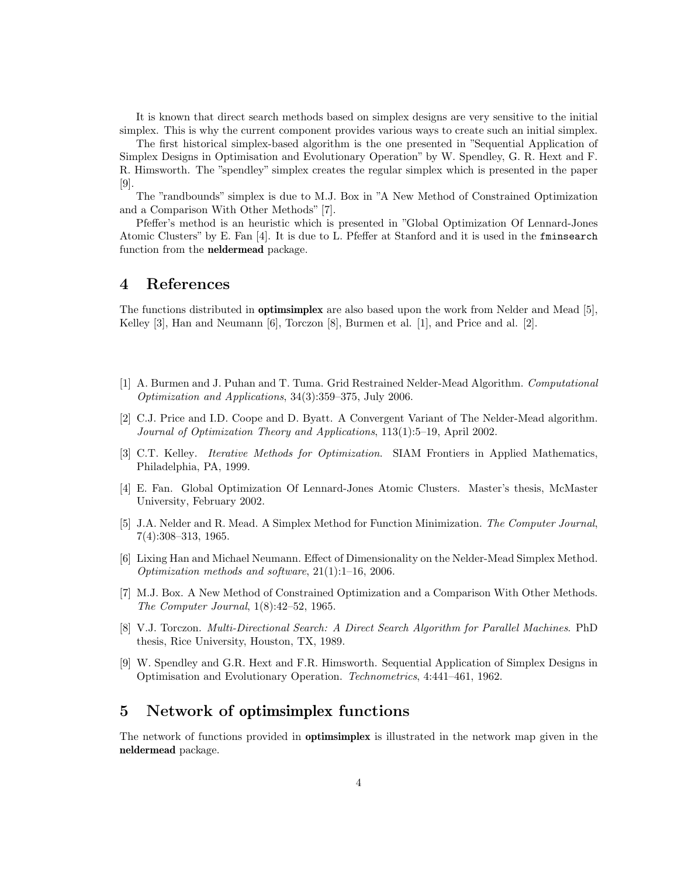It is known that direct search methods based on simplex designs are very sensitive to the initial simplex. This is why the current component provides various ways to create such an initial simplex.

The first historical simplex-based algorithm is the one presented in "Sequential Application of Simplex Designs in Optimisation and Evolutionary Operation" by W. Spendley, G. R. Hext and F. R. Himsworth. The "spendley" simplex creates the regular simplex which is presented in the paper [\[9\]](#page-3-0).

The "randbounds" simplex is due to M.J. Box in "A New Method of Constrained Optimization and a Comparison With Other Methods" [\[7\]](#page-3-1).

Pfeffer's method is an heuristic which is presented in "Global Optimization Of Lennard-Jones Atomic Clusters" by E. Fan [\[4\]](#page-3-2). It is due to L. Pfeffer at Stanford and it is used in the fminsearch function from the neldermead package.

# 4 References

The functions distributed in optimsimplex are also based upon the work from Nelder and Mead [\[5\]](#page-3-3), Kelley [\[3\]](#page-3-4), Han and Neumann [\[6\]](#page-3-5), Torczon [\[8\]](#page-3-6), Burmen et al. [\[1\]](#page-3-7), and Price and al. [\[2\]](#page-3-8).

- <span id="page-3-7"></span>[1] A. Burmen and J. Puhan and T. Tuma. Grid Restrained Nelder-Mead Algorithm. Computational Optimization and Applications, 34(3):359–375, July 2006.
- <span id="page-3-8"></span>[2] C.J. Price and I.D. Coope and D. Byatt. A Convergent Variant of The Nelder-Mead algorithm. Journal of Optimization Theory and Applications, 113(1):5–19, April 2002.
- <span id="page-3-4"></span>[3] C.T. Kelley. Iterative Methods for Optimization. SIAM Frontiers in Applied Mathematics, Philadelphia, PA, 1999.
- <span id="page-3-2"></span>[4] E. Fan. Global Optimization Of Lennard-Jones Atomic Clusters. Master's thesis, McMaster University, February 2002.
- <span id="page-3-3"></span>[5] J.A. Nelder and R. Mead. A Simplex Method for Function Minimization. The Computer Journal, 7(4):308–313, 1965.
- <span id="page-3-5"></span>[6] Lixing Han and Michael Neumann. Effect of Dimensionality on the Nelder-Mead Simplex Method. Optimization methods and software, 21(1):1–16, 2006.
- <span id="page-3-1"></span>[7] M.J. Box. A New Method of Constrained Optimization and a Comparison With Other Methods. The Computer Journal, 1(8):42–52, 1965.
- <span id="page-3-6"></span>[8] V.J. Torczon. Multi-Directional Search: A Direct Search Algorithm for Parallel Machines. PhD thesis, Rice University, Houston, TX, 1989.
- <span id="page-3-0"></span>[9] W. Spendley and G.R. Hext and F.R. Himsworth. Sequential Application of Simplex Designs in Optimisation and Evolutionary Operation. Technometrics, 4:441–461, 1962.

# 5 Network of optimsimplex functions

The network of functions provided in optimsimplex is illustrated in the network map given in the neldermead package.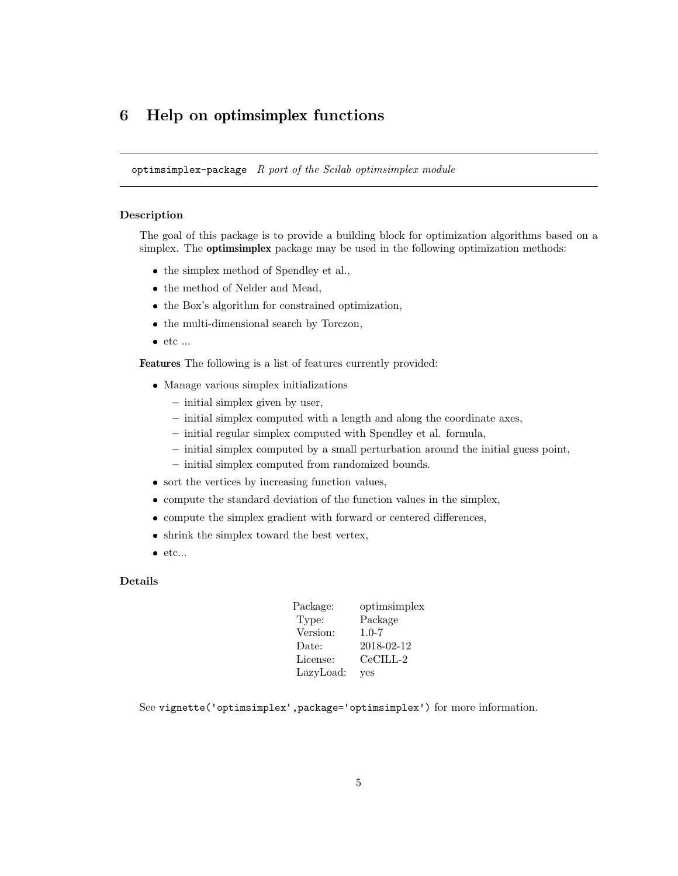# 6 Help on optimsimplex functions

optimsimplex-package  $R$  port of the Scilab optimsimplex module

### Description

The goal of this package is to provide a building block for optimization algorithms based on a simplex. The optimsimplex package may be used in the following optimization methods:

- the simplex method of Spendley et al.,
- the method of Nelder and Mead,
- the Box's algorithm for constrained optimization,
- the multi-dimensional search by Torczon,
- $\bullet$  etc ...

Features The following is a list of features currently provided:

- Manage various simplex initializations
	- initial simplex given by user,
	- initial simplex computed with a length and along the coordinate axes,
	- initial regular simplex computed with Spendley et al. formula,
	- initial simplex computed by a small perturbation around the initial guess point,
	- initial simplex computed from randomized bounds.
- sort the vertices by increasing function values,
- compute the standard deviation of the function values in the simplex,
- compute the simplex gradient with forward or centered differences,
- shrink the simplex toward the best vertex,
- $\bullet$  etc...

### Details

| Package:  | optimsimplex |
|-----------|--------------|
| Type:     | Package      |
| Version:  | $1.0 - 7$    |
| Date:     | 2018-02-12   |
| License:  | $CeCILL-2$   |
| LazyLoad: | <b>ves</b>   |

See vignette('optimsimplex',package='optimsimplex') for more information.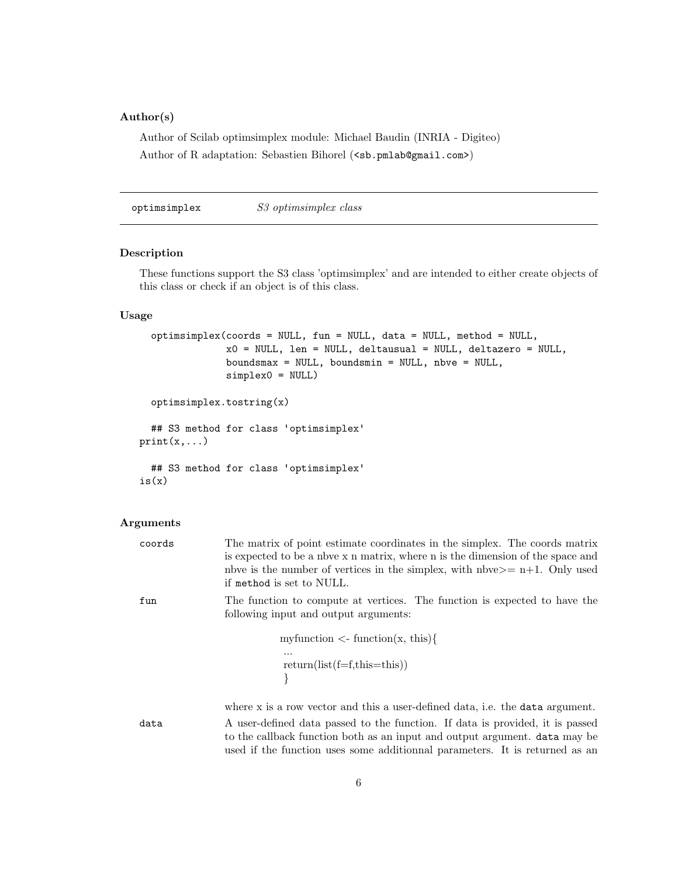# Author(s)

Author of Scilab optimsimplex module: Michael Baudin (INRIA - Digiteo) Author of R adaptation: Sebastien Bihorel (<sb.pmlab@gmail.com>)

optimsimplex S3 optimsimplex class

# Description

These functions support the S3 class 'optimsimplex' and are intended to either create objects of this class or check if an object is of this class.

### Usage

```
optimsimplex(coords = NULL, fun = NULL, data = NULL, method = NULL,
               x0 = NULL, len = NULL, deltausual = NULL, deltazero = NULL,
               boundsmax = NULL, boundsmin = NULL, nbve = NULL,
               simplex0 = NULL)
  optimsimplex.tostring(x)
  ## S3 method for class 'optimsimplex'
print(x,...)## S3 method for class 'optimsimplex'
is(x)
```
# Arguments

| coords | The matrix of point estimate coordinates in the simplex. The coords matrix<br>is expected to be a nove x n matrix, where n is the dimension of the space and<br>nbve is the number of vertices in the simplex, with nbve $>=$ n+1. Only used<br>if method is set to NULL. |
|--------|---------------------------------------------------------------------------------------------------------------------------------------------------------------------------------------------------------------------------------------------------------------------------|
| fun    | The function to compute at vertices. The function is expected to have the<br>following input and output arguments:                                                                                                                                                        |
|        | my function $\langle$ - function $(x, this)$<br>.<br>$return(list(f=f, this = this))$                                                                                                                                                                                     |
|        | where x is a row vector and this a user-defined data, i.e. the data argument.                                                                                                                                                                                             |
| data   | A user-defined data passed to the function. If data is provided, it is passed<br>to the callback function both as an input and output argument. <b>data</b> may be<br>used if the function uses some additionnal parameters. It is returned as an                         |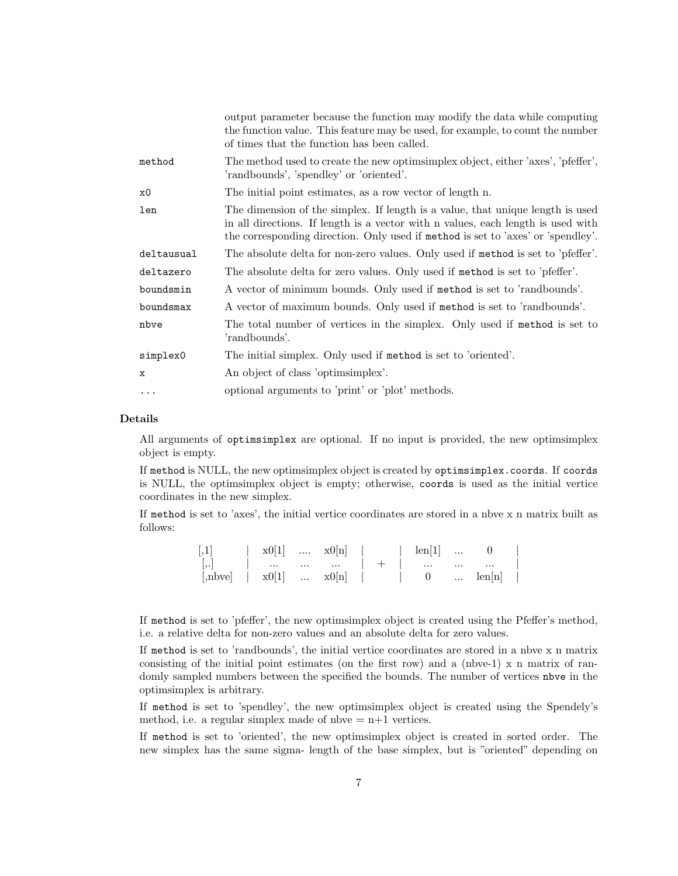|            | output parameter because the function may modify the data while computing<br>the function value. This feature may be used, for example, to count the number<br>of times that the function has been called.                                             |
|------------|--------------------------------------------------------------------------------------------------------------------------------------------------------------------------------------------------------------------------------------------------------|
| method     | The method used to create the new optimism plex object, either 'axes', 'pfeffer',<br>'randbounds', 'spendley' or 'oriented'.                                                                                                                           |
| x0         | The initial point estimates, as a row vector of length n.                                                                                                                                                                                              |
| len        | The dimension of the simplex. If length is a value, that unique length is used<br>in all directions. If length is a vector with n values, each length is used with<br>the corresponding direction. Only used if method is set to 'axes' or 'spendley'. |
| deltausual | The absolute delta for non-zero values. Only used if method is set to 'pfeffer'.                                                                                                                                                                       |
| deltazero  | The absolute delta for zero values. Only used if method is set to 'pfeffer'.                                                                                                                                                                           |
| boundsmin  | A vector of minimum bounds. Only used if method is set to 'randbounds'.                                                                                                                                                                                |
| boundsmax  | A vector of maximum bounds. Only used if method is set to 'randbounds'.                                                                                                                                                                                |
| nbve       | The total number of vertices in the simplex. Only used if method is set to<br>'randbounds'.                                                                                                                                                            |
| simplex0   | The initial simplex. Only used if method is set to 'oriented'.                                                                                                                                                                                         |
| X          | An object of class 'optiminalize'.                                                                                                                                                                                                                     |
| $\cdots$   | optional arguments to 'print' or 'plot' methods.                                                                                                                                                                                                       |

## Details

All arguments of optimsimplex are optional. If no input is provided, the new optimsimplex object is empty.

If method is NULL, the new optimsimplex object is created by optimsimplex.coords. If coords is NULL, the optimsimplex object is empty; otherwise, coords is used as the initial vertice coordinates in the new simplex.

If method is set to 'axes', the initial vertice coordinates are stored in a nbve x n matrix built as follows:

| $\left\lceil,1\right\rceil$                                  |  |  |  |  |  |  |
|--------------------------------------------------------------|--|--|--|--|--|--|
|                                                              |  |  |  |  |  |  |
| [,nbve] $\vert x0[1]$ $x0[n]$   0 $\vert \text{en}[n] \vert$ |  |  |  |  |  |  |

If method is set to 'pfeffer', the new optimsimplex object is created using the Pfeffer's method, i.e. a relative delta for non-zero values and an absolute delta for zero values.

If method is set to 'randbounds', the initial vertice coordinates are stored in a nbve x n matrix consisting of the initial point estimates (on the first row) and a (nbve-1) x n matrix of randomly sampled numbers between the specified the bounds. The number of vertices not in the optimsimplex is arbitrary.

If method is set to 'spendley', the new optimsimplex object is created using the Spendely's method, i.e. a regular simplex made of nbve  $= n+1$  vertices.

If method is set to 'oriented', the new optimsimplex object is created in sorted order. The new simplex has the same sigma- length of the base simplex, but is "oriented" depending on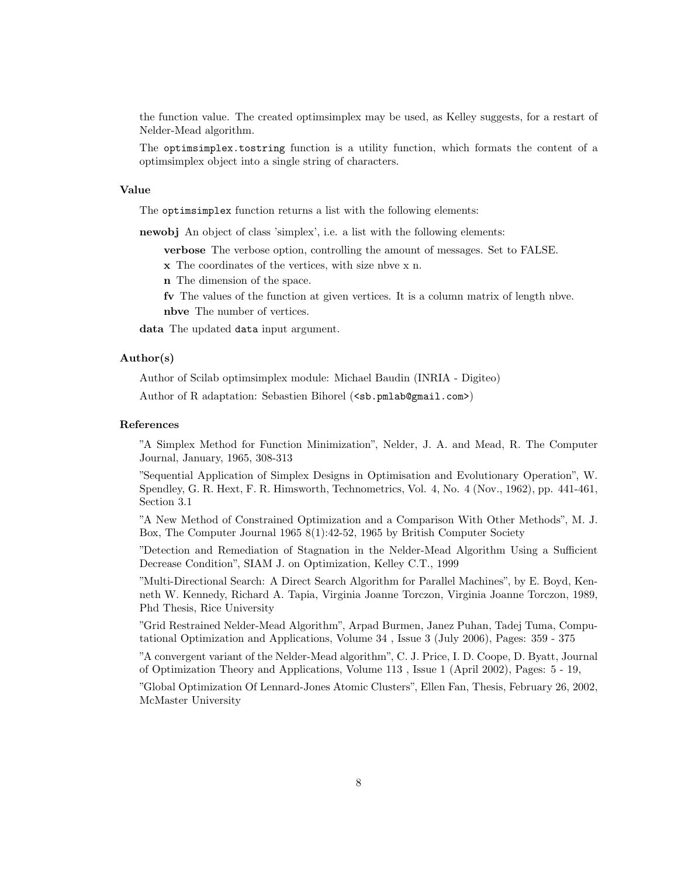the function value. The created optimsimplex may be used, as Kelley suggests, for a restart of Nelder-Mead algorithm.

The optimsimplex.tostring function is a utility function, which formats the content of a optimsimplex object into a single string of characters.

#### Value

The optimsimplex function returns a list with the following elements:

newobj An object of class 'simplex', i.e. a list with the following elements:

verbose The verbose option, controlling the amount of messages. Set to FALSE.

x The coordinates of the vertices, with size nbve x n.

n The dimension of the space.

fv The values of the function at given vertices. It is a column matrix of length nbve. nbve The number of vertices.

data The updated data input argument.

## Author(s)

Author of Scilab optimsimplex module: Michael Baudin (INRIA - Digiteo)

Author of R adaptation: Sebastien Bihorel (<sb.pmlab@gmail.com>)

#### References

"A Simplex Method for Function Minimization", Nelder, J. A. and Mead, R. The Computer Journal, January, 1965, 308-313

"Sequential Application of Simplex Designs in Optimisation and Evolutionary Operation", W. Spendley, G. R. Hext, F. R. Himsworth, Technometrics, Vol. 4, No. 4 (Nov., 1962), pp. 441-461, Section 3.1

"A New Method of Constrained Optimization and a Comparison With Other Methods", M. J. Box, The Computer Journal 1965 8(1):42-52, 1965 by British Computer Society

"Detection and Remediation of Stagnation in the Nelder-Mead Algorithm Using a Sufficient Decrease Condition", SIAM J. on Optimization, Kelley C.T., 1999

"Multi-Directional Search: A Direct Search Algorithm for Parallel Machines", by E. Boyd, Kenneth W. Kennedy, Richard A. Tapia, Virginia Joanne Torczon, Virginia Joanne Torczon, 1989, Phd Thesis, Rice University

"Grid Restrained Nelder-Mead Algorithm", Arpad Burmen, Janez Puhan, Tadej Tuma, Computational Optimization and Applications, Volume 34 , Issue 3 (July 2006), Pages: 359 - 375

"A convergent variant of the Nelder-Mead algorithm", C. J. Price, I. D. Coope, D. Byatt, Journal of Optimization Theory and Applications, Volume 113 , Issue 1 (April 2002), Pages: 5 - 19,

"Global Optimization Of Lennard-Jones Atomic Clusters", Ellen Fan, Thesis, February 26, 2002, McMaster University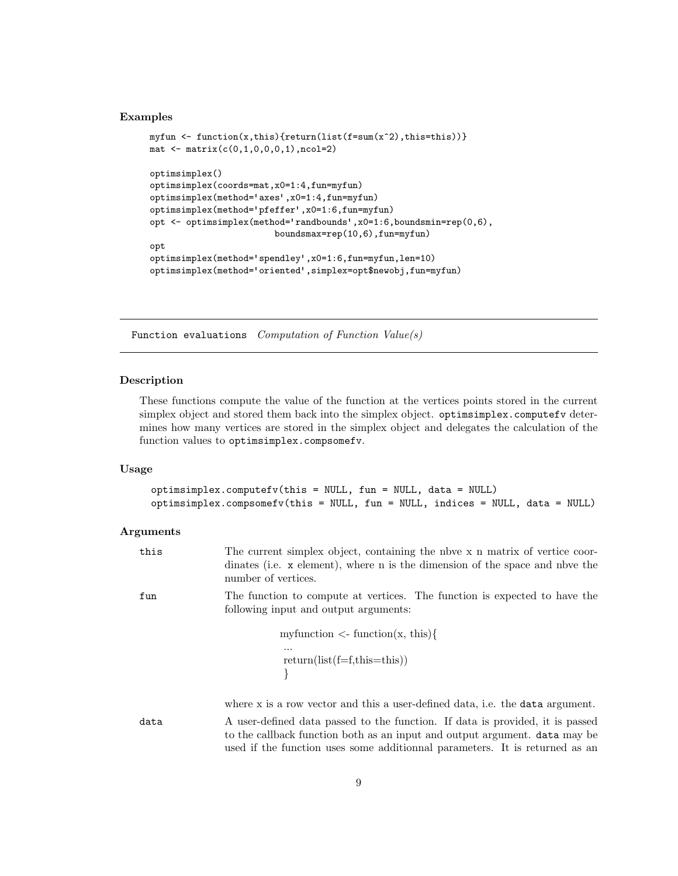### Examples

```
myfun <- function(x,this){return(list(f=sum(x^2),this=this))}
mat < -matrix(c(0,1,0,0,0,1),ncol=2)optimsimplex()
optimsimplex(coords=mat,x0=1:4,fun=myfun)
optimsimplex(method='axes',x0=1:4,fun=myfun)
optimsimplex(method='pfeffer',x0=1:6,fun=myfun)
opt <- optimsimplex(method='randbounds',x0=1:6,boundsmin=rep(0,6),
                        boundsmax=rep(10,6),fun=myfun)
opt
optimsimplex(method='spendley',x0=1:6,fun=myfun,len=10)
optimsimplex(method='oriented',simplex=opt$newobj,fun=myfun)
```
Function evaluations Computation of Function Value(s)

### Description

These functions compute the value of the function at the vertices points stored in the current simplex object and stored them back into the simplex object. optimsimplex.computefv determines how many vertices are stored in the simplex object and delegates the calculation of the function values to optimsimplex.compsomefv.

# Usage

```
optimsimplex.computefv(this = NULL, fun = NULL, data = NULL)
optimsimplex.compsomefv(this = NULL, fun = NULL, indices = NULL, data = NULL)
```
#### Arguments

| this | The current simplex object, containing the nbve x n matrix of vertice coor-<br>dinates (i.e. x element), where n is the dimension of the space and not the<br>number of vertices.                                                          |
|------|--------------------------------------------------------------------------------------------------------------------------------------------------------------------------------------------------------------------------------------------|
| fun  | The function to compute at vertices. The function is expected to have the<br>following input and output arguments:                                                                                                                         |
|      | my function $\langle$ -function $(x, this)$                                                                                                                                                                                                |
|      | <br>$return(list(f=f, this=this))$                                                                                                                                                                                                         |
|      | where x is a row vector and this a user-defined data, i.e. the data argument.                                                                                                                                                              |
| data | A user-defined data passed to the function. If data is provided, it is passed<br>to the callback function both as an input and output argument. data may be<br>used if the function uses some additionnal parameters. It is returned as an |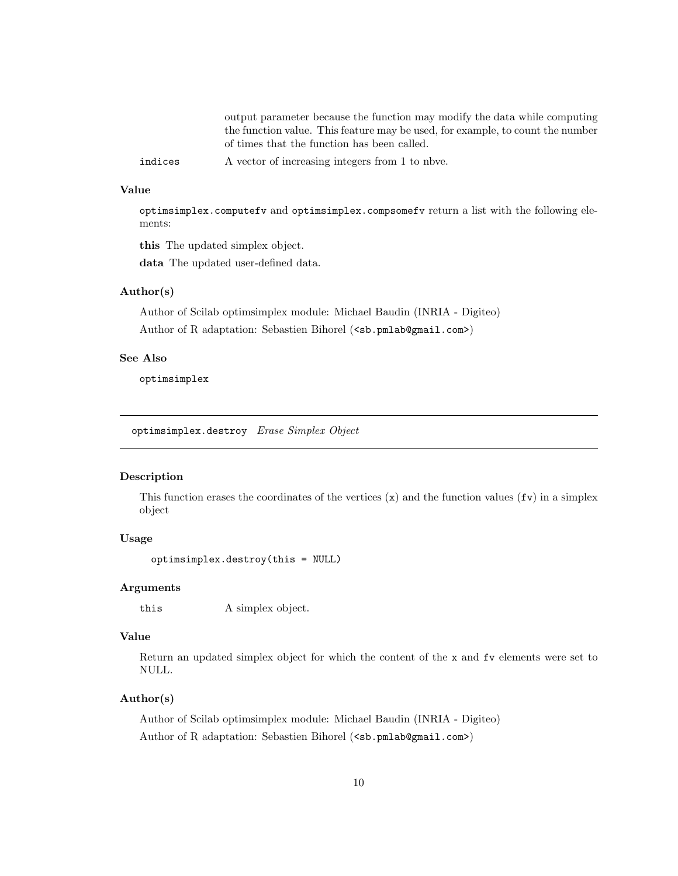output parameter because the function may modify the data while computing the function value. This feature may be used, for example, to count the number of times that the function has been called.

indices A vector of increasing integers from 1 to nbve.

# Value

optimsimplex.computefv and optimsimplex.compsomefv return a list with the following elements:

this The updated simplex object.

data The updated user-defined data.

## Author(s)

Author of Scilab optimsimplex module: Michael Baudin (INRIA - Digiteo) Author of R adaptation: Sebastien Bihorel (<sb.pmlab@gmail.com>)

# See Also

optimsimplex

optimsimplex.destroy Erase Simplex Object

# Description

This function erases the coordinates of the vertices  $(x)$  and the function values  $(fv)$  in a simplex object

#### Usage

optimsimplex.destroy(this = NULL)

### Arguments

this A simplex object.

### Value

Return an updated simplex object for which the content of the x and fv elements were set to NULL.

# Author(s)

Author of Scilab optimsimplex module: Michael Baudin (INRIA - Digiteo) Author of R adaptation: Sebastien Bihorel (<sb.pmlab@gmail.com>)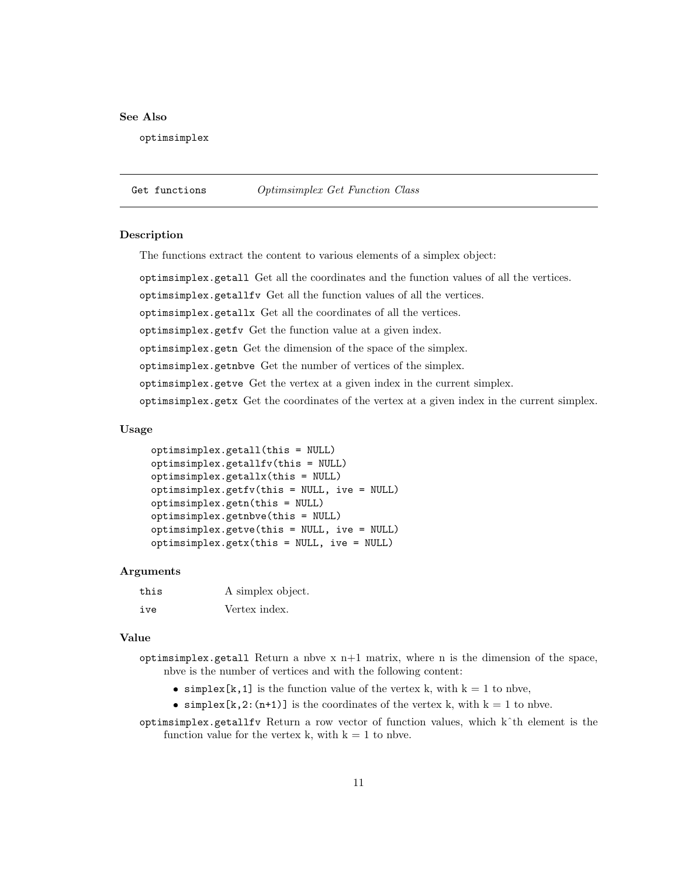### See Also

optimsimplex

Get functions Optimsimplex Get Function Class

#### Description

The functions extract the content to various elements of a simplex object:

optimsimplex.getall Get all the coordinates and the function values of all the vertices.

optimsimplex.getallfv Get all the function values of all the vertices.

optimsimplex.getallx Get all the coordinates of all the vertices.

optimsimplex.getfv Get the function value at a given index.

optimsimplex.getn Get the dimension of the space of the simplex.

optimsimplex.getnbve Get the number of vertices of the simplex.

optimsimplex.getve Get the vertex at a given index in the current simplex.

optimsimplex.getx Get the coordinates of the vertex at a given index in the current simplex.

#### Usage

```
optimsimplex.getall(this = NULL)
optimsimplex.getallfv(this = NULL)
optimsimplex.getallx(this = NULL)
optimsimplex.getfv(this = NULL, ive = NULL)
optimsimplex.getn(this = NULL)
optimsimplex.getnbve(this = NULL)
optimsimplex.getve(this = NULL, ive = NULL)
optimsimplex.getx(this = NULL, ive = NULL)
```
#### Arguments

| this | A simplex object. |
|------|-------------------|
| ive  | Vertex index.     |

### Value

- optimsimplex.getall Return a nbve  $x$  n+1 matrix, where n is the dimension of the space, nbve is the number of vertices and with the following content:
	- simplex[k, 1] is the function value of the vertex k, with  $k = 1$  to nbve,
	- simplex[k,2:(n+1)] is the coordinates of the vertex k, with  $k = 1$  to nbve.

optimsimplex.getallfv Return a row vector of function values, which kˆth element is the function value for the vertex k, with  $k = 1$  to nbve.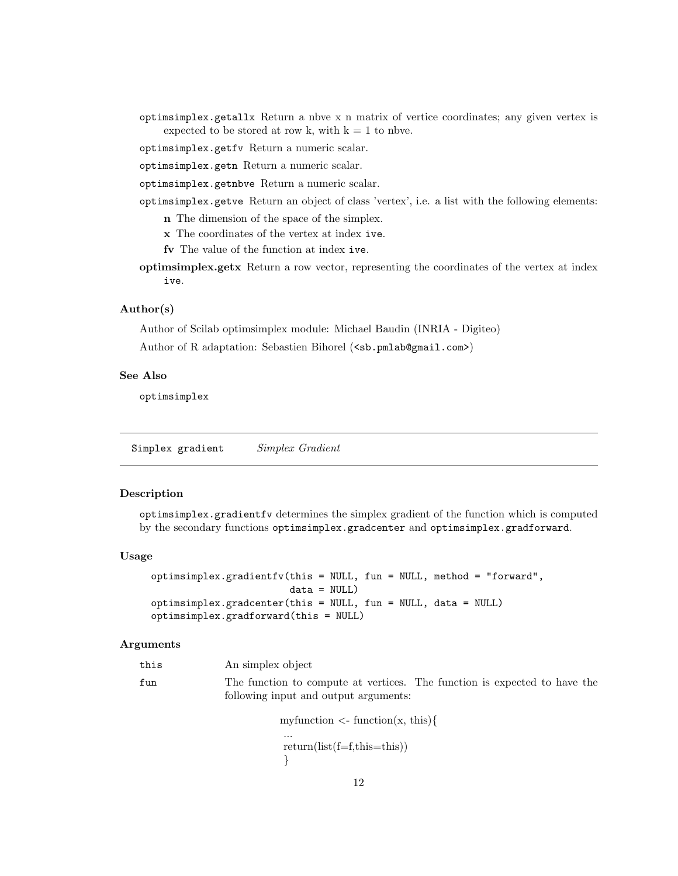optimsimplex.getallx Return a nbve x n matrix of vertice coordinates; any given vertex is expected to be stored at row k, with  $k = 1$  to nbve.

optimsimplex.getfv Return a numeric scalar.

optimsimplex.getn Return a numeric scalar.

optimsimplex.getnbve Return a numeric scalar.

- optimsimplex.getve Return an object of class 'vertex', i.e. a list with the following elements:
	- n The dimension of the space of the simplex.
	- x The coordinates of the vertex at index ive.
	- fv The value of the function at index ive.
- optimsimplex.getx Return a row vector, representing the coordinates of the vertex at index ive.

### Author(s)

Author of Scilab optimsimplex module: Michael Baudin (INRIA - Digiteo)

Author of R adaptation: Sebastien Bihorel (<sb.pmlab@gmail.com>)

#### See Also

optimsimplex

Simplex gradient Simplex Gradient

#### Description

optimsimplex.gradientfv determines the simplex gradient of the function which is computed by the secondary functions optimsimplex.gradcenter and optimsimplex.gradforward.

#### Usage

```
optimsimplex.gradientfv(this = NULL, fun = NULL, method = "forward",
                        data = NULL)optimsimplex.gradcenter(this = NULL, fun = NULL, data = NULL)
optimsimplex.gradforward(this = NULL)
```
#### Arguments

| this | An simplex object                     |                                                                           |
|------|---------------------------------------|---------------------------------------------------------------------------|
| fun  |                                       | The function to compute at vertices. The function is expected to have the |
|      | following input and output arguments: |                                                                           |

my function  $\langle$ -function $(x, this)$ { ... return(list(f=f,this=this)) }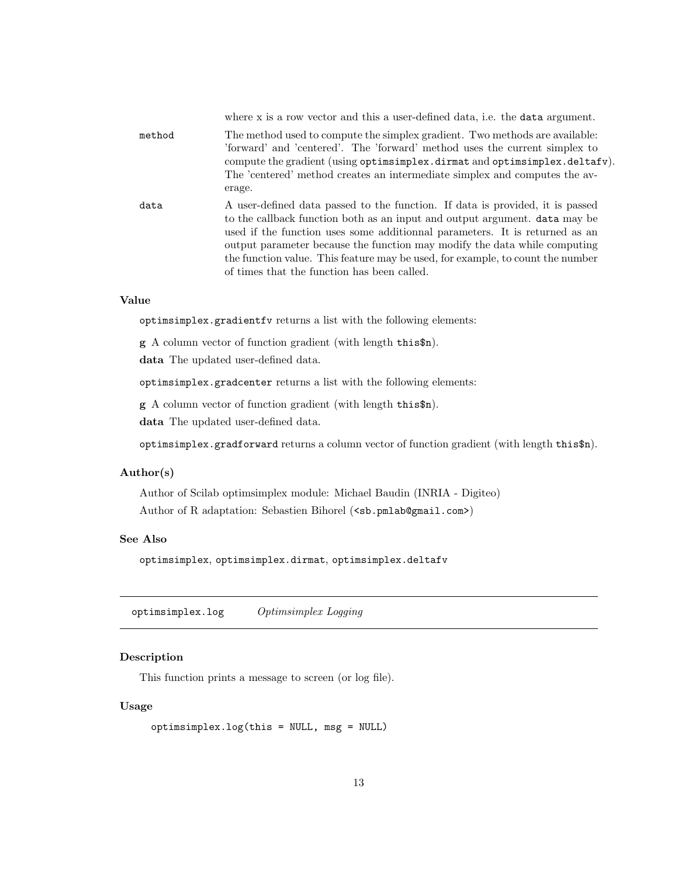|        | where x is a row vector and this a user-defined data, i.e. the data argument.                                                                                                                                                                                                                                                                                                                                                                            |
|--------|----------------------------------------------------------------------------------------------------------------------------------------------------------------------------------------------------------------------------------------------------------------------------------------------------------------------------------------------------------------------------------------------------------------------------------------------------------|
| method | The method used to compute the simplex gradient. Two methods are available:<br>'forward' and 'centered'. The 'forward' method uses the current simplex to<br>compute the gradient (using optimsimplex.dirmat and optimsimplex.deltafv).<br>The 'centered' method creates an intermediate simplex and computes the av-<br>erage.                                                                                                                          |
| data   | A user-defined data passed to the function. If data is provided, it is passed<br>to the callback function both as an input and output argument. data may be<br>used if the function uses some additionnal parameters. It is returned as an<br>output parameter because the function may modify the data while computing<br>the function value. This feature may be used, for example, to count the number<br>of times that the function has been called. |

## Value

optimsimplex.gradientfv returns a list with the following elements:

g A column vector of function gradient (with length this\$n).

data The updated user-defined data.

optimsimplex.gradcenter returns a list with the following elements:

g A column vector of function gradient (with length this\$n).

data The updated user-defined data.

optimsimplex.gradforward returns a column vector of function gradient (with length this\$n).

### Author(s)

Author of Scilab optimsimplex module: Michael Baudin (INRIA - Digiteo) Author of R adaptation: Sebastien Bihorel (<sb.pmlab@gmail.com>)

# See Also

optimsimplex, optimsimplex.dirmat, optimsimplex.deltafv

optimsimplex.log Optimsimplex Logging

## Description

This function prints a message to screen (or log file).

# Usage

```
optimsimplex.log(this = NULL, msg = NULL)
```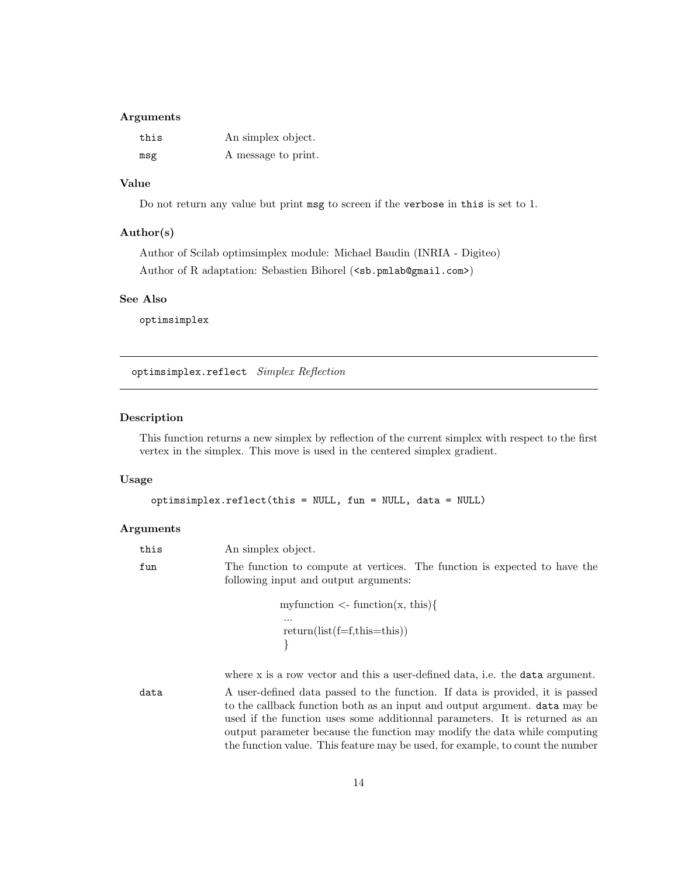## Arguments

| this | An simplex object.  |
|------|---------------------|
| msg  | A message to print. |

# Value

Do not return any value but print msg to screen if the verbose in this is set to 1.

### Author(s)

Author of Scilab optimsimplex module: Michael Baudin (INRIA - Digiteo) Author of R adaptation: Sebastien Bihorel (<sb.pmlab@gmail.com>)

### See Also

optimsimplex

optimsimplex.reflect Simplex Reflection

### Description

This function returns a new simplex by reflection of the current simplex with respect to the first vertex in the simplex. This move is used in the centered simplex gradient.

# Usage

```
optimsimplex.reflect(this = NULL, fun = NULL, data = NULL)
```
# Arguments

| this | An simplex object.                                                                                                                                                                                                                                                                                                             |
|------|--------------------------------------------------------------------------------------------------------------------------------------------------------------------------------------------------------------------------------------------------------------------------------------------------------------------------------|
| fun  | The function to compute at vertices. The function is expected to have the<br>following input and output arguments:                                                                                                                                                                                                             |
|      | my function $\langle$ - function $(x, this)$                                                                                                                                                                                                                                                                                   |
|      | .<br>$return(list(f=f, this=this))$                                                                                                                                                                                                                                                                                            |
|      | where x is a row vector and this a user-defined data, i.e. the data argument.                                                                                                                                                                                                                                                  |
| data | A user-defined data passed to the function. If data is provided, it is passed<br>to the callback function both as an input and output argument. <b>data</b> may be<br>used if the function uses some additionnal parameters. It is returned as an<br>output parameter because the function may modify the data while computing |

the function value. This feature may be used, for example, to count the number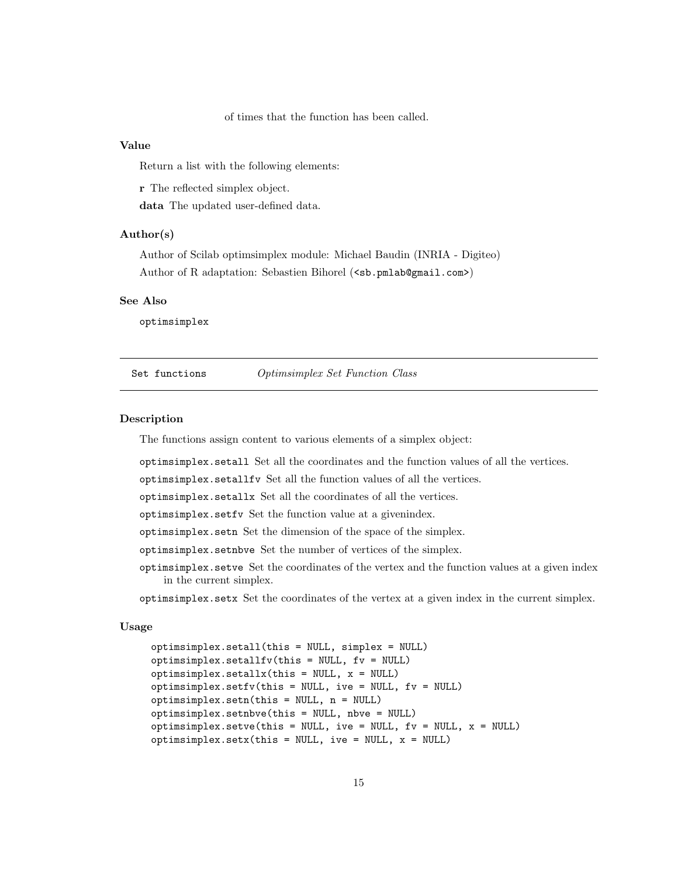of times that the function has been called.

#### Value

Return a list with the following elements:

r The reflected simplex object.

data The updated user-defined data.

#### Author(s)

Author of Scilab optimsimplex module: Michael Baudin (INRIA - Digiteo) Author of R adaptation: Sebastien Bihorel (<sb.pmlab@gmail.com>)

#### See Also

optimsimplex

Set functions Optimsimplex Set Function Class

## Description

The functions assign content to various elements of a simplex object:

optimsimplex.setall Set all the coordinates and the function values of all the vertices.

optimsimplex.setallfv Set all the function values of all the vertices.

optimsimplex.setallx Set all the coordinates of all the vertices.

optimsimplex.setfv Set the function value at a givenindex.

optimsimplex.setn Set the dimension of the space of the simplex.

optimsimplex.setnbve Set the number of vertices of the simplex.

optimsimplex.setve Set the coordinates of the vertex and the function values at a given index in the current simplex.

optimsimplex.setx Set the coordinates of the vertex at a given index in the current simplex.

### Usage

```
optimsimplex.setall(this = NULL, simplex = NULL)
optimsimplex.setallfv(this = NULL, fv = NULL)
optimsimplex.setallx(this = NULL, x = NULL)optimsimplex.setfv(this = NULL, ive = NULL, fv = NULL)
optimsimplex.setn(this = NULL, n = NULL)
optimsimplex.setnbve(this = NULL, nbve = NULL)
optimsimplex.setve(this = NULL, ive = NULL, fv = NULL, x = NULL)
optimsimplex.setx(this = NULL, ive = NULL, x = NULL)
```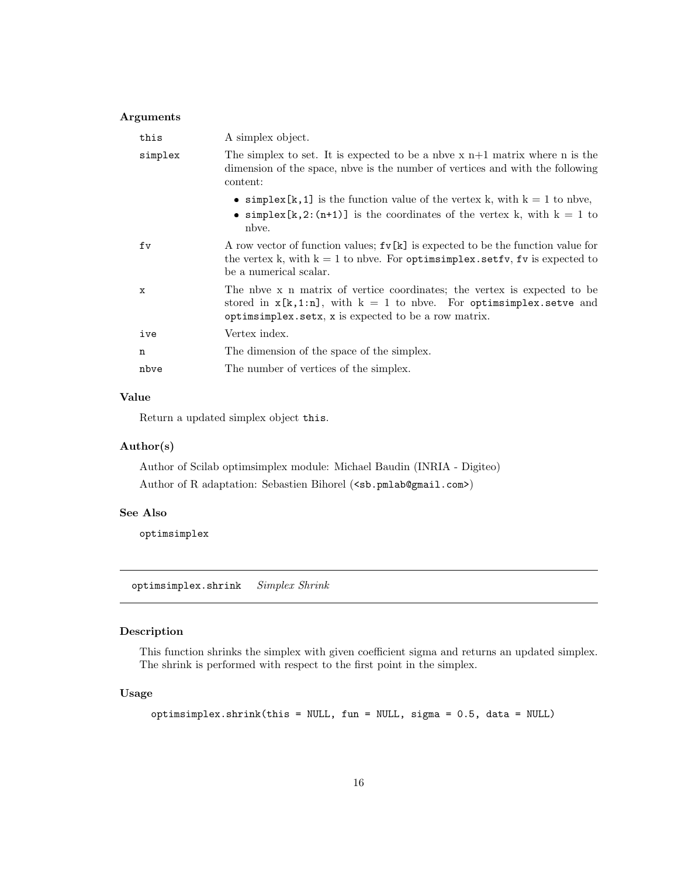## Arguments

| this    | A simplex object.                                                                                                                                                                                       |
|---------|---------------------------------------------------------------------------------------------------------------------------------------------------------------------------------------------------------|
| simplex | The simplex to set. It is expected to be a nbve $x$ n+1 matrix where n is the<br>dimension of the space, not is the number of vertices and with the following<br>content:                               |
|         | • simplex [k, 1] is the function value of the vertex k, with $k = 1$ to nbve,<br>• simplex [k, 2: (n+1)] is the coordinates of the vertex k, with $k = 1$ to<br>nbye.                                   |
| fv      | A row vector of function values; $f \nu[k]$ is expected to be the function value for<br>the vertex k, with $k = 1$ to nbve. For optimizing lexistic set fv, fv is expected to<br>be a numerical scalar. |
| X       | The nove x n matrix of vertice coordinates; the vertex is expected to be<br>stored in $x[k,1:n]$ , with $k = 1$ to nbve. For optiming the set set ve and<br>optimized to be a row matrix.               |
| ive     | Vertex index.                                                                                                                                                                                           |
| n       | The dimension of the space of the simplex.                                                                                                                                                              |
| nbve    | The number of vertices of the simplex.                                                                                                                                                                  |

### Value

Return a updated simplex object this.

### Author(s)

Author of Scilab optimsimplex module: Michael Baudin (INRIA - Digiteo) Author of R adaptation: Sebastien Bihorel (<sb.pmlab@gmail.com>)

## See Also

optimsimplex

optimsimplex.shrink Simplex Shrink

# Description

This function shrinks the simplex with given coefficient sigma and returns an updated simplex. The shrink is performed with respect to the first point in the simplex.

# Usage

optimsimplex.shrink(this = NULL, fun = NULL, sigma = 0.5, data = NULL)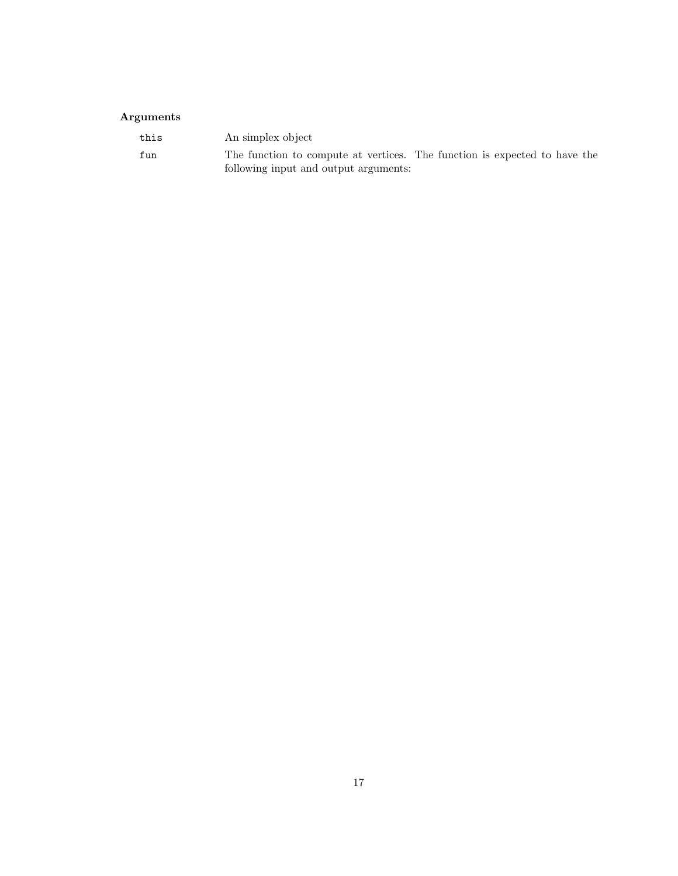# Arguments

| this | An simplex object                                                                                                  |
|------|--------------------------------------------------------------------------------------------------------------------|
| fun  | The function to compute at vertices. The function is expected to have the<br>following input and output arguments: |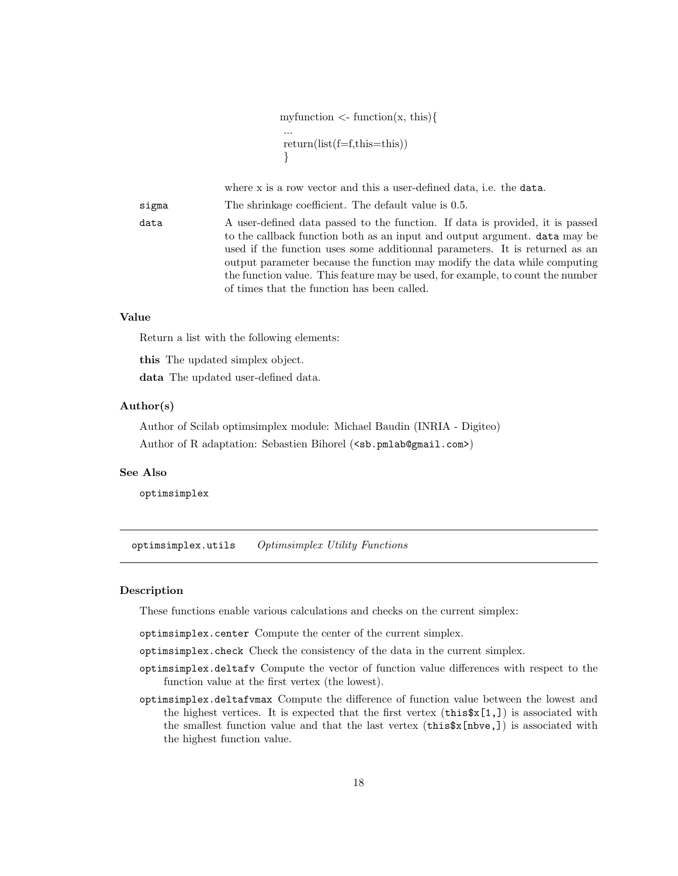my function  $\langle$ -function $(x, this)$ { ... return(list(f=f,this=this)) }

where x is a row vector and this a user-defined data, i.e. the data.

sigma The shrinkage coefficient. The default value is 0.5.

data A user-defined data passed to the function. If data is provided, it is passed to the callback function both as an input and output argument. data may be used if the function uses some additionnal parameters. It is returned as an output parameter because the function may modify the data while computing the function value. This feature may be used, for example, to count the number of times that the function has been called.

### Value

Return a list with the following elements:

this The updated simplex object. data The updated user-defined data.

### Author(s)

Author of Scilab optimsimplex module: Michael Baudin (INRIA - Digiteo) Author of R adaptation: Sebastien Bihorel (<sb.pmlab@gmail.com>)

### See Also

optimsimplex

optimsimplex.utils Optimsimplex Utility Functions

# Description

These functions enable various calculations and checks on the current simplex:

optimsimplex.center Compute the center of the current simplex.

optimsimplex.check Check the consistency of the data in the current simplex.

- optimsimplex.deltafv Compute the vector of function value differences with respect to the function value at the first vertex (the lowest).
- optimsimplex.deltafvmax Compute the difference of function value between the lowest and the highest vertices. It is expected that the first vertex  $(\text{this}\$  X[1,]) is associated with the smallest function value and that the last vertex  $(\text{this}\$x[{\text{nbve}}], )$  is associated with the highest function value.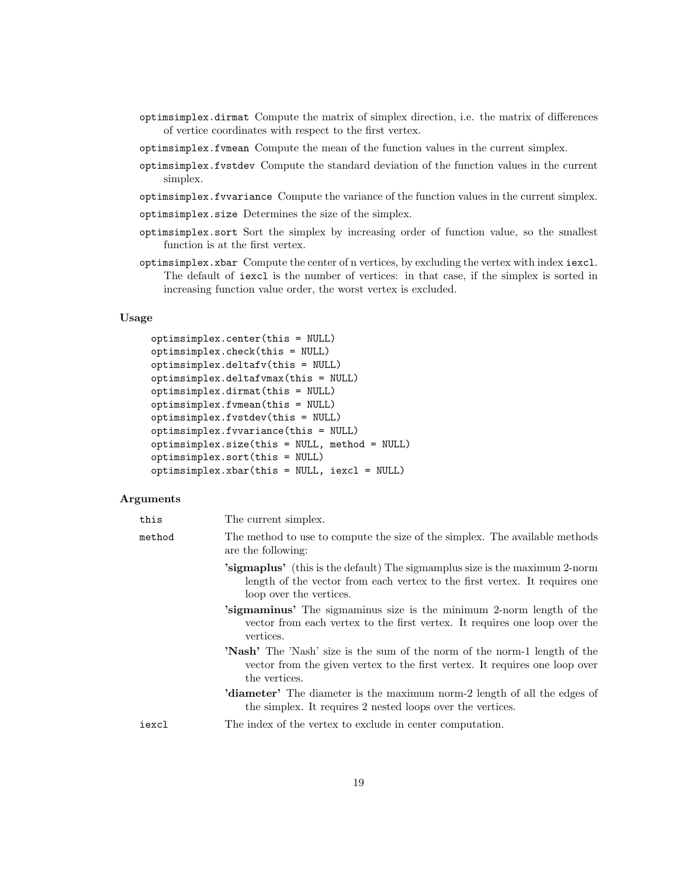- optimsimplex.dirmat Compute the matrix of simplex direction, i.e. the matrix of differences of vertice coordinates with respect to the first vertex.
- optimsimplex.fvmean Compute the mean of the function values in the current simplex.
- optimsimplex.fvstdev Compute the standard deviation of the function values in the current simplex.
- optimsimplex.fvvariance Compute the variance of the function values in the current simplex.
- optimsimplex.size Determines the size of the simplex.
- optimsimplex.sort Sort the simplex by increasing order of function value, so the smallest function is at the first vertex.
- optimsimplex.xbar Compute the center of n vertices, by excluding the vertex with index iexcl. The default of iexcl is the number of vertices: in that case, if the simplex is sorted in increasing function value order, the worst vertex is excluded.

### Usage

```
optimsimplex.center(this = NULL)
optimsimplex.check(this = NULL)
optimsimplex.deltafv(this = NULL)
optimsimplex.deltafvmax(this = NULL)
optimsimplex.dirmat(this = NULL)
optimsimplex.fvmean(this = NULL)
optimsimplex.fvstdev(this = NULL)
optimsimplex.fvvariance(this = NULL)
optimsimplex.size(this = NULL, method = NULL)
optimsimplex.sort(this = NULL)
optimsimplex.xbar(this = NULL, iexcl = NULL)
```
### Arguments

| this   | The current simplex.                                                                                                                                                                        |
|--------|---------------------------------------------------------------------------------------------------------------------------------------------------------------------------------------------|
| method | The method to use to compute the size of the simplex. The available methods<br>are the following:                                                                                           |
|        | <b>'sigmaplus'</b> (this is the default) The sigmamplus size is the maximum 2-norm<br>length of the vector from each vertex to the first vertex. It requires one<br>loop over the vertices. |
|        | <b>Sigmaminus</b> The sigmaminus size is the minimum 2-norm length of the<br>vector from each vertex to the first vertex. It requires one loop over the<br>vertices.                        |
|        | <b>'Nash'</b> The 'Nash' size is the sum of the norm of the norm-1 length of the<br>vector from the given vertex to the first vertex. It requires one loop over<br>the vertices.            |
|        | <b>'diameter'</b> The diameter is the maximum norm-2 length of all the edges of<br>the simplex. It requires 2 nested loops over the vertices.                                               |
| iexcl  | The index of the vertex to exclude in center computation.                                                                                                                                   |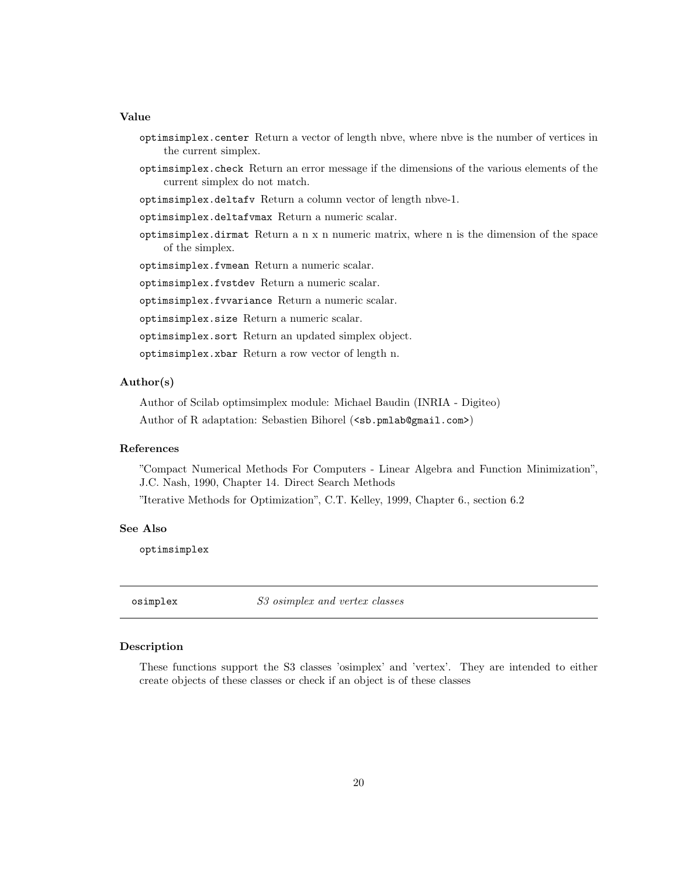### Value

- optimsimplex.center Return a vector of length nbve, where nbve is the number of vertices in the current simplex.
- optimsimplex.check Return an error message if the dimensions of the various elements of the current simplex do not match.
- optimsimplex.deltafv Return a column vector of length nbve-1.
- optimsimplex.deltafvmax Return a numeric scalar.
- optimsimplex.dirmat Return a n x n numeric matrix, where n is the dimension of the space of the simplex.

optimsimplex.fvmean Return a numeric scalar.

optimsimplex.fvstdev Return a numeric scalar.

optimsimplex.fvvariance Return a numeric scalar.

optimsimplex.size Return a numeric scalar.

optimsimplex.sort Return an updated simplex object.

optimsimplex.xbar Return a row vector of length n.

## Author(s)

Author of Scilab optimsimplex module: Michael Baudin (INRIA - Digiteo) Author of R adaptation: Sebastien Bihorel (<sb.pmlab@gmail.com>)

#### References

"Compact Numerical Methods For Computers - Linear Algebra and Function Minimization", J.C. Nash, 1990, Chapter 14. Direct Search Methods

"Iterative Methods for Optimization", C.T. Kelley, 1999, Chapter 6., section 6.2

### See Also

optimsimplex

osimplex S3 osimplex and vertex classes

#### Description

These functions support the S3 classes 'osimplex' and 'vertex'. They are intended to either create objects of these classes or check if an object is of these classes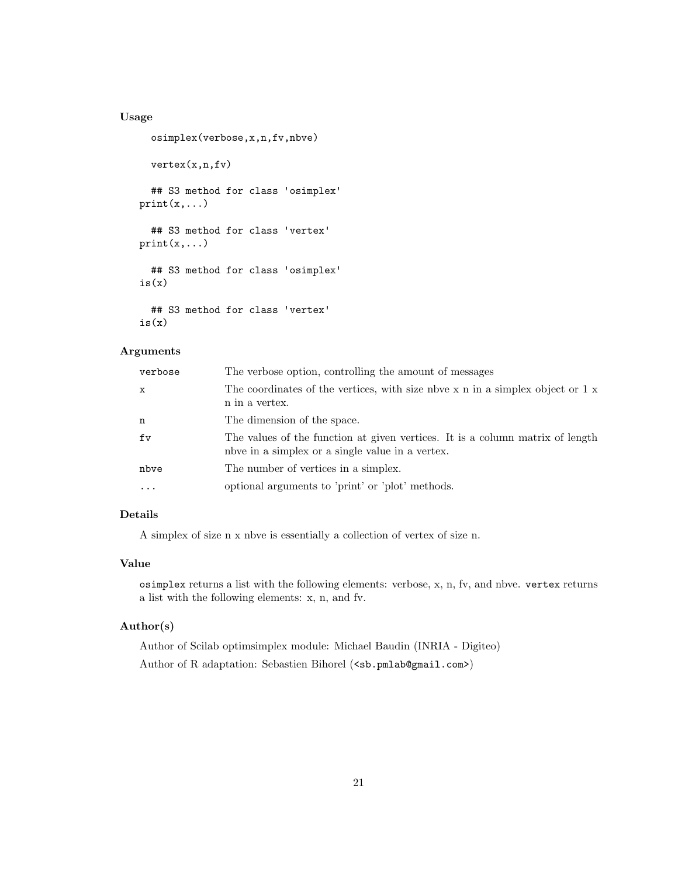# Usage

```
osimplex(verbose,x,n,fv,nbve)
  vertex(x,n,fv)
  ## S3 method for class 'osimplex'
print(x,...)## S3 method for class 'vertex'
print(x,...)## S3 method for class 'osimplex'
is(x)## S3 method for class 'vertex'
is(x)
```
### Arguments

| verbose           | The verbose option, controlling the amount of messages                                                                              |
|-------------------|-------------------------------------------------------------------------------------------------------------------------------------|
| $\mathbf{x}$      | The coordinates of the vertices, with size note $x$ n in a simplex object or $1 x$<br>n in a vertex.                                |
| n                 | The dimension of the space.                                                                                                         |
| f <sub>V</sub>    | The values of the function at given vertices. It is a column matrix of length<br>notice in a simplex or a single value in a vertex. |
| nbve              | The number of vertices in a simplex.                                                                                                |
| $\cdot\cdot\cdot$ | optional arguments to 'print' or 'plot' methods.                                                                                    |

# Details

A simplex of size n x nbve is essentially a collection of vertex of size n.

#### Value

osimplex returns a list with the following elements: verbose, x, n, fv, and nbve. vertex returns a list with the following elements: x, n, and fv.

# Author(s)

Author of Scilab optimsimplex module: Michael Baudin (INRIA - Digiteo)

Author of R adaptation: Sebastien Bihorel (<sb.pmlab@gmail.com>)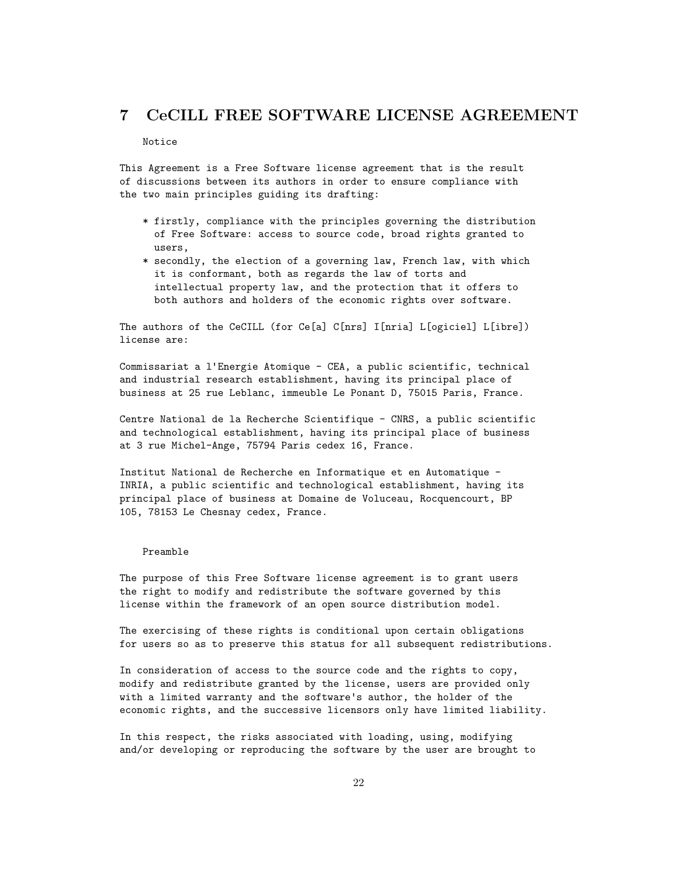# 7 CeCILL FREE SOFTWARE LICENSE AGREEMENT

#### Notice

This Agreement is a Free Software license agreement that is the result of discussions between its authors in order to ensure compliance with the two main principles guiding its drafting:

- \* firstly, compliance with the principles governing the distribution of Free Software: access to source code, broad rights granted to users,
- \* secondly, the election of a governing law, French law, with which it is conformant, both as regards the law of torts and intellectual property law, and the protection that it offers to both authors and holders of the economic rights over software.

The authors of the CeCILL (for Ce[a] C[nrs] I[nria] L[ogiciel] L[ibre]) license are:

Commissariat a l'Energie Atomique - CEA, a public scientific, technical and industrial research establishment, having its principal place of business at 25 rue Leblanc, immeuble Le Ponant D, 75015 Paris, France.

Centre National de la Recherche Scientifique - CNRS, a public scientific and technological establishment, having its principal place of business at 3 rue Michel-Ange, 75794 Paris cedex 16, France.

Institut National de Recherche en Informatique et en Automatique - INRIA, a public scientific and technological establishment, having its principal place of business at Domaine de Voluceau, Rocquencourt, BP 105, 78153 Le Chesnay cedex, France.

#### Preamble

The purpose of this Free Software license agreement is to grant users the right to modify and redistribute the software governed by this license within the framework of an open source distribution model.

The exercising of these rights is conditional upon certain obligations for users so as to preserve this status for all subsequent redistributions.

In consideration of access to the source code and the rights to copy, modify and redistribute granted by the license, users are provided only with a limited warranty and the software's author, the holder of the economic rights, and the successive licensors only have limited liability.

In this respect, the risks associated with loading, using, modifying and/or developing or reproducing the software by the user are brought to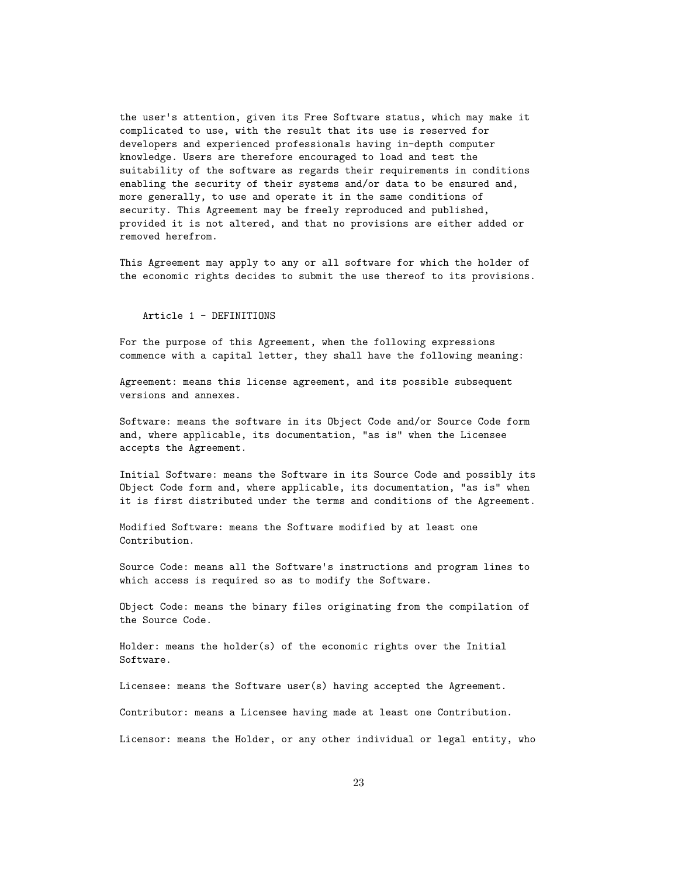the user's attention, given its Free Software status, which may make it complicated to use, with the result that its use is reserved for developers and experienced professionals having in-depth computer knowledge. Users are therefore encouraged to load and test the suitability of the software as regards their requirements in conditions enabling the security of their systems and/or data to be ensured and, more generally, to use and operate it in the same conditions of security. This Agreement may be freely reproduced and published, provided it is not altered, and that no provisions are either added or removed herefrom.

This Agreement may apply to any or all software for which the holder of the economic rights decides to submit the use thereof to its provisions.

#### Article 1 - DEFINITIONS

For the purpose of this Agreement, when the following expressions commence with a capital letter, they shall have the following meaning:

Agreement: means this license agreement, and its possible subsequent versions and annexes.

Software: means the software in its Object Code and/or Source Code form and, where applicable, its documentation, "as is" when the Licensee accepts the Agreement.

Initial Software: means the Software in its Source Code and possibly its Object Code form and, where applicable, its documentation, "as is" when it is first distributed under the terms and conditions of the Agreement.

Modified Software: means the Software modified by at least one Contribution.

Source Code: means all the Software's instructions and program lines to which access is required so as to modify the Software.

Object Code: means the binary files originating from the compilation of the Source Code.

Holder: means the holder(s) of the economic rights over the Initial Software.

Licensee: means the Software user(s) having accepted the Agreement.

Contributor: means a Licensee having made at least one Contribution.

Licensor: means the Holder, or any other individual or legal entity, who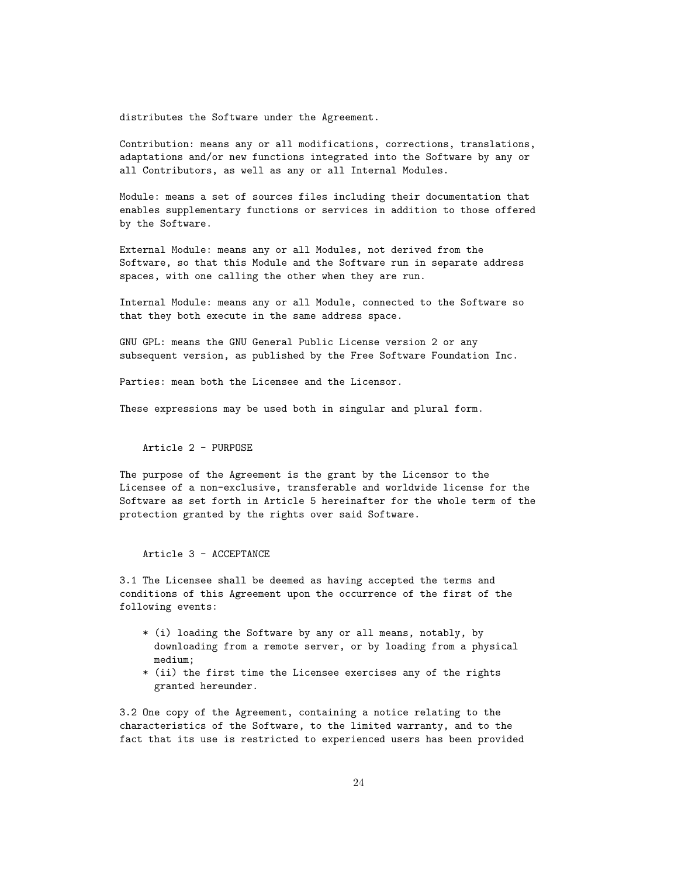distributes the Software under the Agreement.

Contribution: means any or all modifications, corrections, translations, adaptations and/or new functions integrated into the Software by any or all Contributors, as well as any or all Internal Modules.

Module: means a set of sources files including their documentation that enables supplementary functions or services in addition to those offered by the Software.

External Module: means any or all Modules, not derived from the Software, so that this Module and the Software run in separate address spaces, with one calling the other when they are run.

Internal Module: means any or all Module, connected to the Software so that they both execute in the same address space.

GNU GPL: means the GNU General Public License version 2 or any subsequent version, as published by the Free Software Foundation Inc.

Parties: mean both the Licensee and the Licensor.

These expressions may be used both in singular and plural form.

Article 2 - PURPOSE

The purpose of the Agreement is the grant by the Licensor to the Licensee of a non-exclusive, transferable and worldwide license for the Software as set forth in Article 5 hereinafter for the whole term of the protection granted by the rights over said Software.

Article 3 - ACCEPTANCE

3.1 The Licensee shall be deemed as having accepted the terms and conditions of this Agreement upon the occurrence of the first of the following events:

- \* (i) loading the Software by any or all means, notably, by downloading from a remote server, or by loading from a physical medium;
- \* (ii) the first time the Licensee exercises any of the rights granted hereunder.

3.2 One copy of the Agreement, containing a notice relating to the characteristics of the Software, to the limited warranty, and to the fact that its use is restricted to experienced users has been provided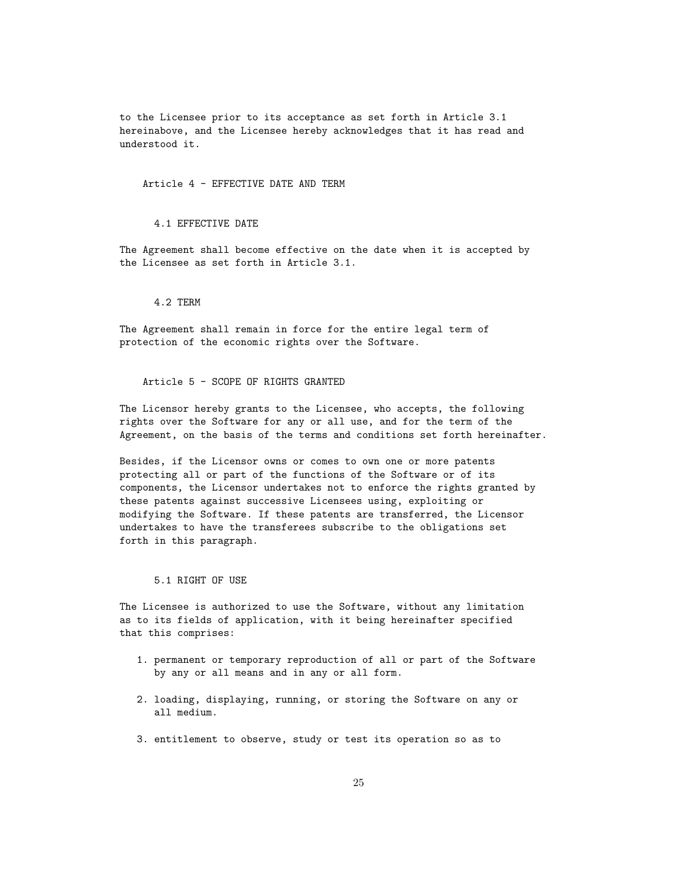to the Licensee prior to its acceptance as set forth in Article 3.1 hereinabove, and the Licensee hereby acknowledges that it has read and understood it.

Article 4 - EFFECTIVE DATE AND TERM

4.1 EFFECTIVE DATE

The Agreement shall become effective on the date when it is accepted by the Licensee as set forth in Article 3.1.

4.2 TERM

The Agreement shall remain in force for the entire legal term of protection of the economic rights over the Software.

Article 5 - SCOPE OF RIGHTS GRANTED

The Licensor hereby grants to the Licensee, who accepts, the following rights over the Software for any or all use, and for the term of the Agreement, on the basis of the terms and conditions set forth hereinafter.

Besides, if the Licensor owns or comes to own one or more patents protecting all or part of the functions of the Software or of its components, the Licensor undertakes not to enforce the rights granted by these patents against successive Licensees using, exploiting or modifying the Software. If these patents are transferred, the Licensor undertakes to have the transferees subscribe to the obligations set forth in this paragraph.

5.1 RIGHT OF USE

The Licensee is authorized to use the Software, without any limitation as to its fields of application, with it being hereinafter specified that this comprises:

- 1. permanent or temporary reproduction of all or part of the Software by any or all means and in any or all form.
- 2. loading, displaying, running, or storing the Software on any or all medium.
- 3. entitlement to observe, study or test its operation so as to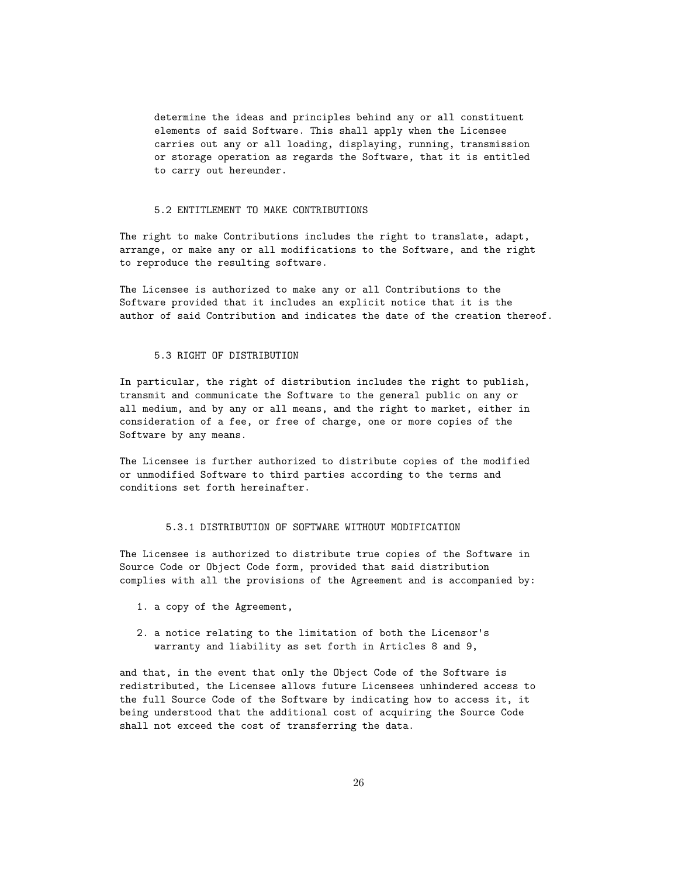determine the ideas and principles behind any or all constituent elements of said Software. This shall apply when the Licensee carries out any or all loading, displaying, running, transmission or storage operation as regards the Software, that it is entitled to carry out hereunder.

#### 5.2 ENTITLEMENT TO MAKE CONTRIBUTIONS

The right to make Contributions includes the right to translate, adapt, arrange, or make any or all modifications to the Software, and the right to reproduce the resulting software.

The Licensee is authorized to make any or all Contributions to the Software provided that it includes an explicit notice that it is the author of said Contribution and indicates the date of the creation thereof.

#### 5.3 RIGHT OF DISTRIBUTION

In particular, the right of distribution includes the right to publish, transmit and communicate the Software to the general public on any or all medium, and by any or all means, and the right to market, either in consideration of a fee, or free of charge, one or more copies of the Software by any means.

The Licensee is further authorized to distribute copies of the modified or unmodified Software to third parties according to the terms and conditions set forth hereinafter.

#### 5.3.1 DISTRIBUTION OF SOFTWARE WITHOUT MODIFICATION

The Licensee is authorized to distribute true copies of the Software in Source Code or Object Code form, provided that said distribution complies with all the provisions of the Agreement and is accompanied by:

- 1. a copy of the Agreement,
- 2. a notice relating to the limitation of both the Licensor's warranty and liability as set forth in Articles 8 and 9,

and that, in the event that only the Object Code of the Software is redistributed, the Licensee allows future Licensees unhindered access to the full Source Code of the Software by indicating how to access it, it being understood that the additional cost of acquiring the Source Code shall not exceed the cost of transferring the data.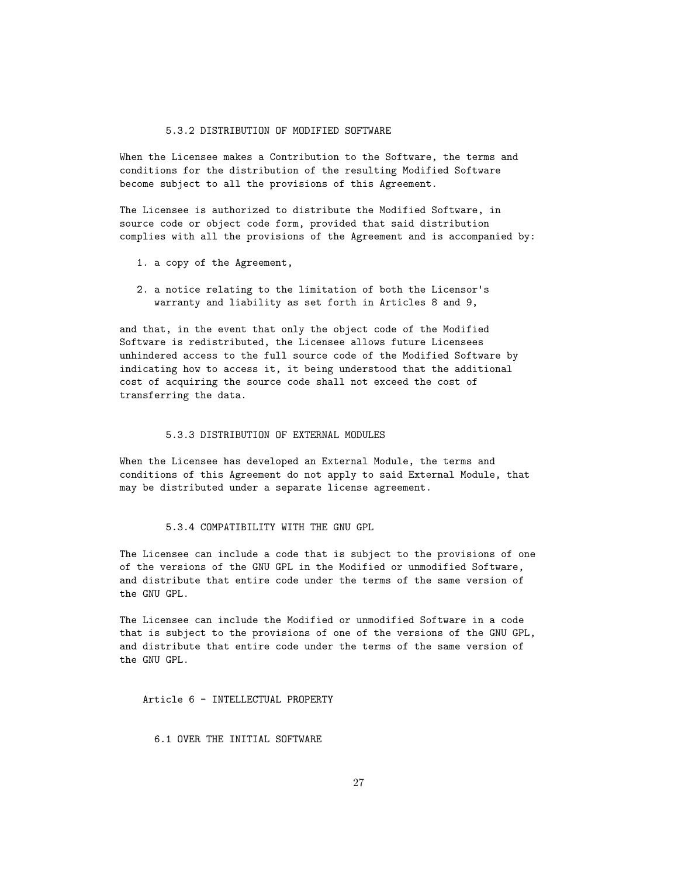#### 5.3.2 DISTRIBUTION OF MODIFIED SOFTWARE

When the Licensee makes a Contribution to the Software, the terms and conditions for the distribution of the resulting Modified Software become subject to all the provisions of this Agreement.

The Licensee is authorized to distribute the Modified Software, in source code or object code form, provided that said distribution complies with all the provisions of the Agreement and is accompanied by:

- 1. a copy of the Agreement,
- 2. a notice relating to the limitation of both the Licensor's warranty and liability as set forth in Articles 8 and 9,

and that, in the event that only the object code of the Modified Software is redistributed, the Licensee allows future Licensees unhindered access to the full source code of the Modified Software by indicating how to access it, it being understood that the additional cost of acquiring the source code shall not exceed the cost of transferring the data.

#### 5.3.3 DISTRIBUTION OF EXTERNAL MODULES

When the Licensee has developed an External Module, the terms and conditions of this Agreement do not apply to said External Module, that may be distributed under a separate license agreement.

#### 5.3.4 COMPATIBILITY WITH THE GNU GPL

The Licensee can include a code that is subject to the provisions of one of the versions of the GNU GPL in the Modified or unmodified Software, and distribute that entire code under the terms of the same version of the GNU GPL.

The Licensee can include the Modified or unmodified Software in a code that is subject to the provisions of one of the versions of the GNU GPL, and distribute that entire code under the terms of the same version of the GNU GPL.

Article 6 - INTELLECTUAL PROPERTY

6.1 OVER THE INITIAL SOFTWARE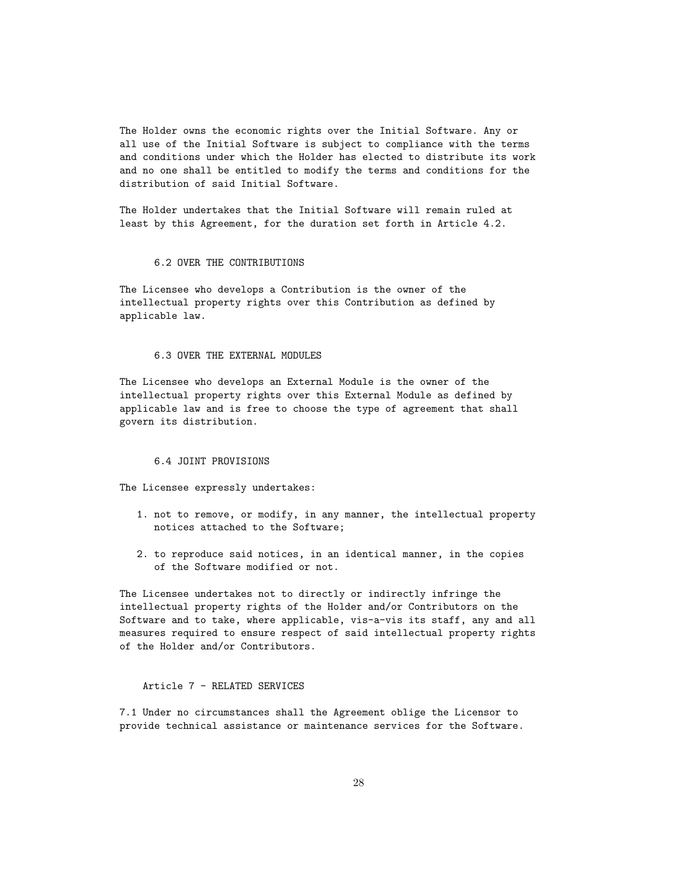The Holder owns the economic rights over the Initial Software. Any or all use of the Initial Software is subject to compliance with the terms and conditions under which the Holder has elected to distribute its work and no one shall be entitled to modify the terms and conditions for the distribution of said Initial Software.

The Holder undertakes that the Initial Software will remain ruled at least by this Agreement, for the duration set forth in Article 4.2.

#### 6.2 OVER THE CONTRIBUTIONS

The Licensee who develops a Contribution is the owner of the intellectual property rights over this Contribution as defined by applicable law.

#### 6.3 OVER THE EXTERNAL MODULES

The Licensee who develops an External Module is the owner of the intellectual property rights over this External Module as defined by applicable law and is free to choose the type of agreement that shall govern its distribution.

#### 6.4 JOINT PROVISIONS

The Licensee expressly undertakes:

- 1. not to remove, or modify, in any manner, the intellectual property notices attached to the Software;
- 2. to reproduce said notices, in an identical manner, in the copies of the Software modified or not.

The Licensee undertakes not to directly or indirectly infringe the intellectual property rights of the Holder and/or Contributors on the Software and to take, where applicable, vis-a-vis its staff, any and all measures required to ensure respect of said intellectual property rights of the Holder and/or Contributors.

#### Article 7 - RELATED SERVICES

7.1 Under no circumstances shall the Agreement oblige the Licensor to provide technical assistance or maintenance services for the Software.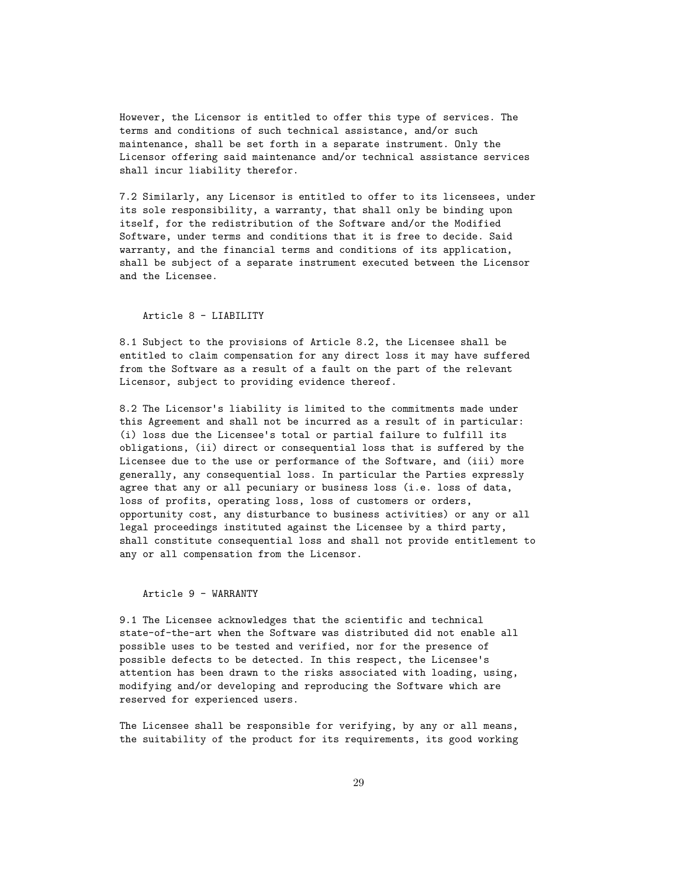However, the Licensor is entitled to offer this type of services. The terms and conditions of such technical assistance, and/or such maintenance, shall be set forth in a separate instrument. Only the Licensor offering said maintenance and/or technical assistance services shall incur liability therefor.

7.2 Similarly, any Licensor is entitled to offer to its licensees, under its sole responsibility, a warranty, that shall only be binding upon itself, for the redistribution of the Software and/or the Modified Software, under terms and conditions that it is free to decide. Said warranty, and the financial terms and conditions of its application, shall be subject of a separate instrument executed between the Licensor and the Licensee.

### Article 8 - LIABILITY

8.1 Subject to the provisions of Article 8.2, the Licensee shall be entitled to claim compensation for any direct loss it may have suffered from the Software as a result of a fault on the part of the relevant Licensor, subject to providing evidence thereof.

8.2 The Licensor's liability is limited to the commitments made under this Agreement and shall not be incurred as a result of in particular: (i) loss due the Licensee's total or partial failure to fulfill its obligations, (ii) direct or consequential loss that is suffered by the Licensee due to the use or performance of the Software, and (iii) more generally, any consequential loss. In particular the Parties expressly agree that any or all pecuniary or business loss (i.e. loss of data, loss of profits, operating loss, loss of customers or orders, opportunity cost, any disturbance to business activities) or any or all legal proceedings instituted against the Licensee by a third party, shall constitute consequential loss and shall not provide entitlement to any or all compensation from the Licensor.

#### Article 9 - WARRANTY

9.1 The Licensee acknowledges that the scientific and technical state-of-the-art when the Software was distributed did not enable all possible uses to be tested and verified, nor for the presence of possible defects to be detected. In this respect, the Licensee's attention has been drawn to the risks associated with loading, using, modifying and/or developing and reproducing the Software which are reserved for experienced users.

The Licensee shall be responsible for verifying, by any or all means, the suitability of the product for its requirements, its good working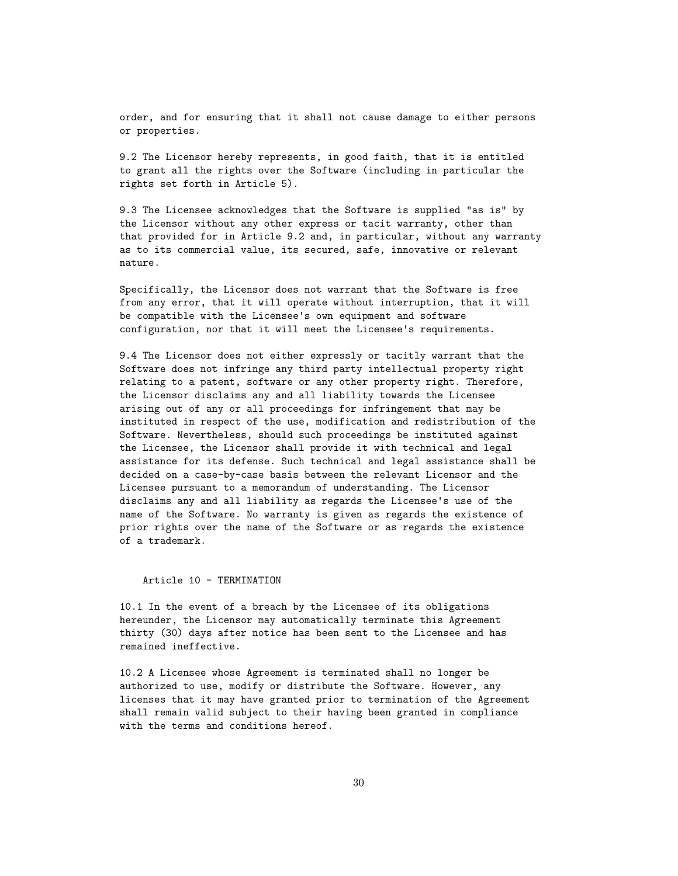order, and for ensuring that it shall not cause damage to either persons or properties.

9.2 The Licensor hereby represents, in good faith, that it is entitled to grant all the rights over the Software (including in particular the rights set forth in Article 5).

9.3 The Licensee acknowledges that the Software is supplied "as is" by the Licensor without any other express or tacit warranty, other than that provided for in Article 9.2 and, in particular, without any warranty as to its commercial value, its secured, safe, innovative or relevant nature.

Specifically, the Licensor does not warrant that the Software is free from any error, that it will operate without interruption, that it will be compatible with the Licensee's own equipment and software configuration, nor that it will meet the Licensee's requirements.

9.4 The Licensor does not either expressly or tacitly warrant that the Software does not infringe any third party intellectual property right relating to a patent, software or any other property right. Therefore, the Licensor disclaims any and all liability towards the Licensee arising out of any or all proceedings for infringement that may be instituted in respect of the use, modification and redistribution of the Software. Nevertheless, should such proceedings be instituted against the Licensee, the Licensor shall provide it with technical and legal assistance for its defense. Such technical and legal assistance shall be decided on a case-by-case basis between the relevant Licensor and the Licensee pursuant to a memorandum of understanding. The Licensor disclaims any and all liability as regards the Licensee's use of the name of the Software. No warranty is given as regards the existence of prior rights over the name of the Software or as regards the existence of a trademark.

#### Article 10 - TERMINATION

10.1 In the event of a breach by the Licensee of its obligations hereunder, the Licensor may automatically terminate this Agreement thirty (30) days after notice has been sent to the Licensee and has remained ineffective.

10.2 A Licensee whose Agreement is terminated shall no longer be authorized to use, modify or distribute the Software. However, any licenses that it may have granted prior to termination of the Agreement shall remain valid subject to their having been granted in compliance with the terms and conditions hereof.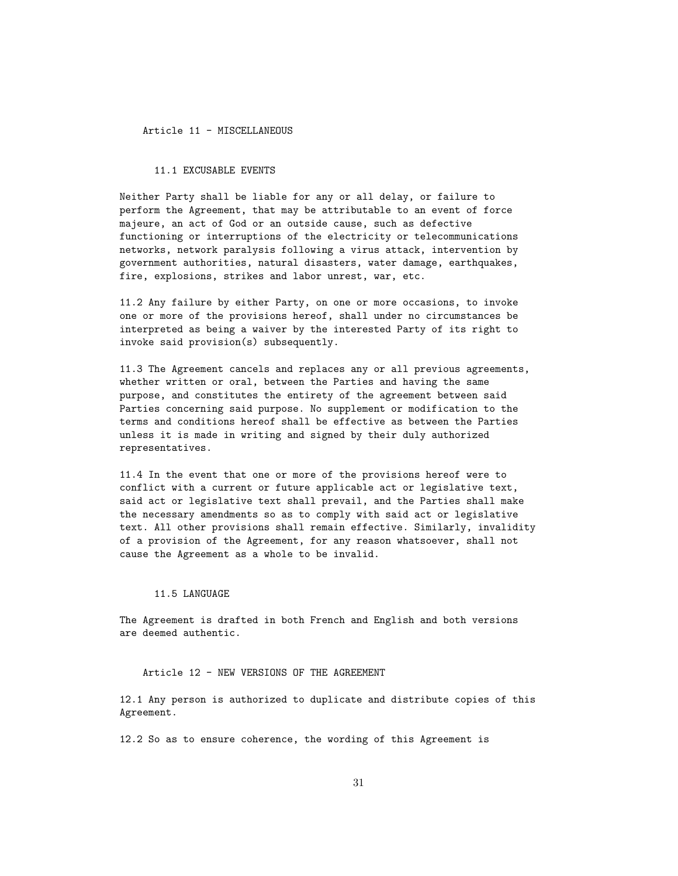Article 11 - MISCELLANEOUS

#### 11.1 EXCUSABLE EVENTS

Neither Party shall be liable for any or all delay, or failure to perform the Agreement, that may be attributable to an event of force majeure, an act of God or an outside cause, such as defective functioning or interruptions of the electricity or telecommunications networks, network paralysis following a virus attack, intervention by government authorities, natural disasters, water damage, earthquakes, fire, explosions, strikes and labor unrest, war, etc.

11.2 Any failure by either Party, on one or more occasions, to invoke one or more of the provisions hereof, shall under no circumstances be interpreted as being a waiver by the interested Party of its right to invoke said provision(s) subsequently.

11.3 The Agreement cancels and replaces any or all previous agreements, whether written or oral, between the Parties and having the same purpose, and constitutes the entirety of the agreement between said Parties concerning said purpose. No supplement or modification to the terms and conditions hereof shall be effective as between the Parties unless it is made in writing and signed by their duly authorized representatives.

11.4 In the event that one or more of the provisions hereof were to conflict with a current or future applicable act or legislative text, said act or legislative text shall prevail, and the Parties shall make the necessary amendments so as to comply with said act or legislative text. All other provisions shall remain effective. Similarly, invalidity of a provision of the Agreement, for any reason whatsoever, shall not cause the Agreement as a whole to be invalid.

#### 11.5 LANGUAGE

The Agreement is drafted in both French and English and both versions are deemed authentic.

#### Article 12 - NEW VERSIONS OF THE AGREEMENT

12.1 Any person is authorized to duplicate and distribute copies of this Agreement.

12.2 So as to ensure coherence, the wording of this Agreement is